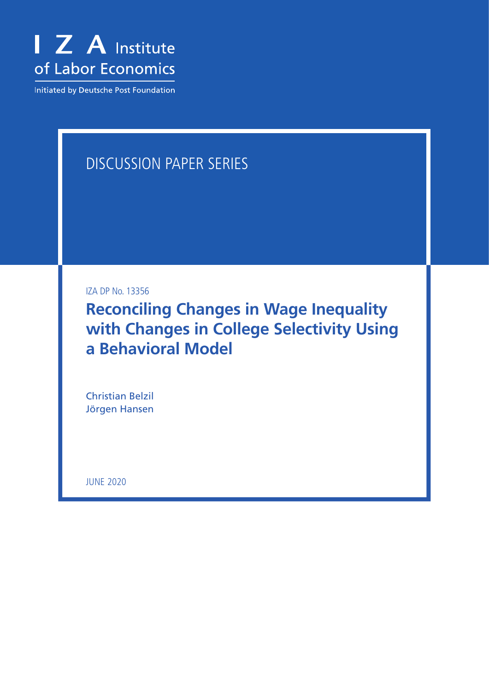

Initiated by Deutsche Post Foundation

# DISCUSSION PAPER SERIES

IZA DP No. 13356

**Reconciling Changes in Wage Inequality with Changes in College Selectivity Using a Behavioral Model**

Christian Belzil Jörgen Hansen

JUNE 2020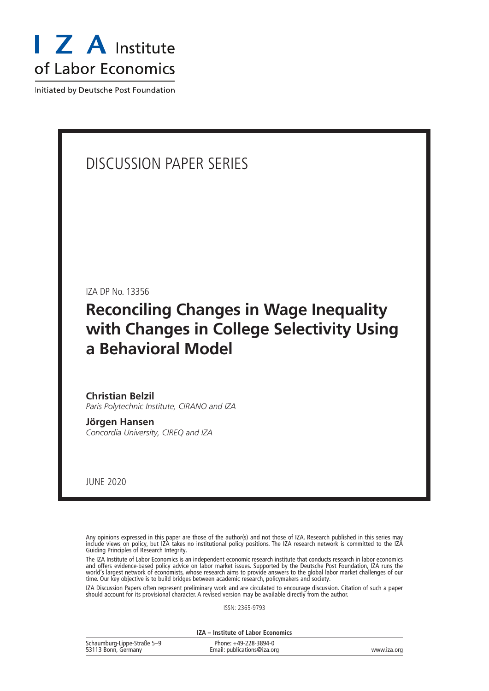

Initiated by Deutsche Post Foundation

# DISCUSSION PAPER SERIES

IZA DP No. 13356

# **Reconciling Changes in Wage Inequality with Changes in College Selectivity Using a Behavioral Model**

**Christian Belzil** *Paris Polytechnic Institute, CIRANO and IZA*

**Jörgen Hansen** *Concordia University, CIREQ and IZA*

JUNE 2020

Any opinions expressed in this paper are those of the author(s) and not those of IZA. Research published in this series may include views on policy, but IZA takes no institutional policy positions. The IZA research network is committed to the IZA Guiding Principles of Research Integrity.

The IZA Institute of Labor Economics is an independent economic research institute that conducts research in labor economics and offers evidence-based policy advice on labor market issues. Supported by the Deutsche Post Foundation, IZA runs the world's largest network of economists, whose research aims to provide answers to the global labor market challenges of our time. Our key objective is to build bridges between academic research, policymakers and society.

IZA Discussion Papers often represent preliminary work and are circulated to encourage discussion. Citation of such a paper should account for its provisional character. A revised version may be available directly from the author.

ISSN: 2365-9793

**IZA – Institute of Labor Economics**

| Schaumburg-Lippe-Straße 5-9 | Phone: +49-228-3894-0       |             |
|-----------------------------|-----------------------------|-------------|
| 53113 Bonn, Germany         | Email: publications@iza.org | www.iza.org |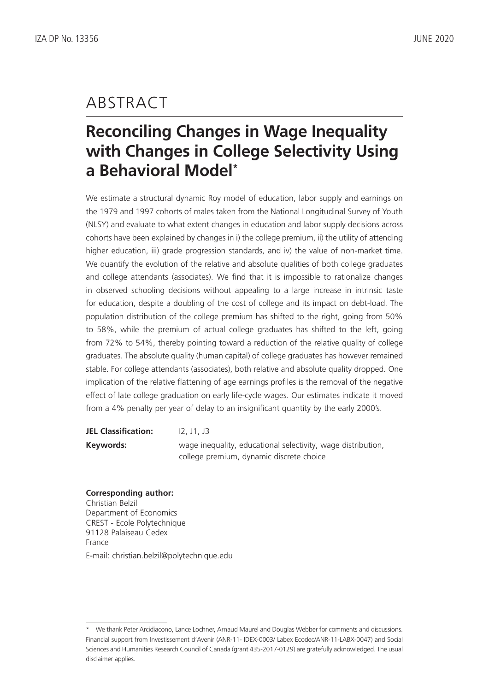# ABSTRACT

# **Reconciling Changes in Wage Inequality with Changes in College Selectivity Using a Behavioral Model\***

We estimate a structural dynamic Roy model of education, labor supply and earnings on the 1979 and 1997 cohorts of males taken from the National Longitudinal Survey of Youth (NLSY) and evaluate to what extent changes in education and labor supply decisions across cohorts have been explained by changes in i) the college premium, ii) the utility of attending higher education, iii) grade progression standards, and iv) the value of non-market time. We quantify the evolution of the relative and absolute qualities of both college graduates and college attendants (associates). We find that it is impossible to rationalize changes in observed schooling decisions without appealing to a large increase in intrinsic taste for education, despite a doubling of the cost of college and its impact on debt-load. The population distribution of the college premium has shifted to the right, going from 50% to 58%, while the premium of actual college graduates has shifted to the left, going from 72% to 54%, thereby pointing toward a reduction of the relative quality of college graduates. The absolute quality (human capital) of college graduates has however remained stable. For college attendants (associates), both relative and absolute quality dropped. One implication of the relative flattening of age earnings profiles is the removal of the negative effect of late college graduation on early life-cycle wages. Our estimates indicate it moved from a 4% penalty per year of delay to an insignificant quantity by the early 2000's.

| <b>JEL Classification:</b> | 12. J1. J3                                                   |
|----------------------------|--------------------------------------------------------------|
| Keywords:                  | wage inequality, educational selectivity, wage distribution, |
|                            | college premium, dynamic discrete choice                     |

# **Corresponding author:**

Christian Belzil Department of Economics CREST - Ecole Polytechnique 91128 Palaiseau Cedex France E-mail: christian.belzil@polytechnique.edu

<sup>\*</sup> We thank Peter Arcidiacono, Lance Lochner, Arnaud Maurel and Douglas Webber for comments and discussions. Financial support from Investissement d'Avenir (ANR-11- IDEX-0003/ Labex Ecodec/ANR-11-LABX-0047) and Social Sciences and Humanities Research Council of Canada (grant 435-2017-0129) are gratefully acknowledged. The usual disclaimer applies.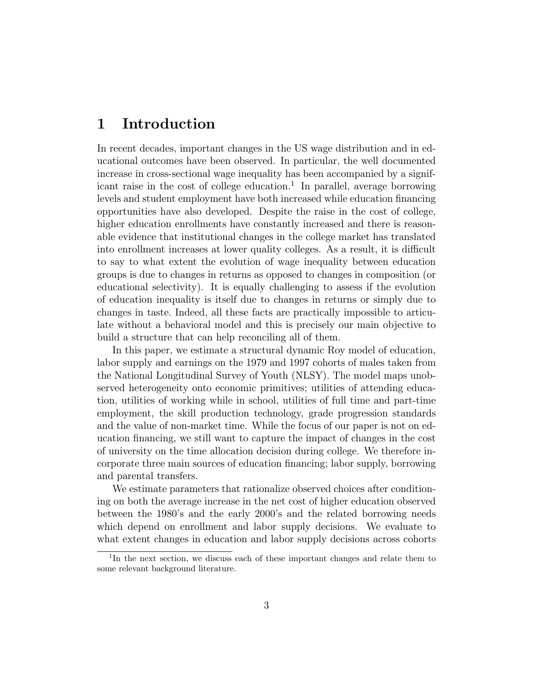# 1 Introduction

In recent decades, important changes in the US wage distribution and in educational outcomes have been observed. In particular, the well documented increase in cross-sectional wage inequality has been accompanied by a significant raise in the cost of college education.<sup>1</sup> In parallel, average borrowing levels and student employment have both increased while education financing opportunities have also developed. Despite the raise in the cost of college, higher education enrollments have constantly increased and there is reasonable evidence that institutional changes in the college market has translated into enrollment increases at lower quality colleges. As a result, it is difficult to say to what extent the evolution of wage inequality between education groups is due to changes in returns as opposed to changes in composition (or educational selectivity). It is equally challenging to assess if the evolution of education inequality is itself due to changes in returns or simply due to changes in taste. Indeed, all these facts are practically impossible to articulate without a behavioral model and this is precisely our main objective to build a structure that can help reconciling all of them.

In this paper, we estimate a structural dynamic Roy model of education, labor supply and earnings on the 1979 and 1997 cohorts of males taken from the National Longitudinal Survey of Youth (NLSY). The model maps unobserved heterogeneity onto economic primitives; utilities of attending education, utilities of working while in school, utilities of full time and part-time employment, the skill production technology, grade progression standards and the value of non-market time. While the focus of our paper is not on education nancing, we still want to capture the impact of changes in the cost of university on the time allocation decision during college. We therefore incorporate three main sources of education nancing; labor supply, borrowing and parental transfers.

We estimate parameters that rationalize observed choices after conditioning on both the average increase in the net cost of higher education observed between the 1980's and the early 2000's and the related borrowing needs which depend on enrollment and labor supply decisions. We evaluate to what extent changes in education and labor supply decisions across cohorts

<sup>&</sup>lt;sup>1</sup>In the next section, we discuss each of these important changes and relate them to some relevant background literature.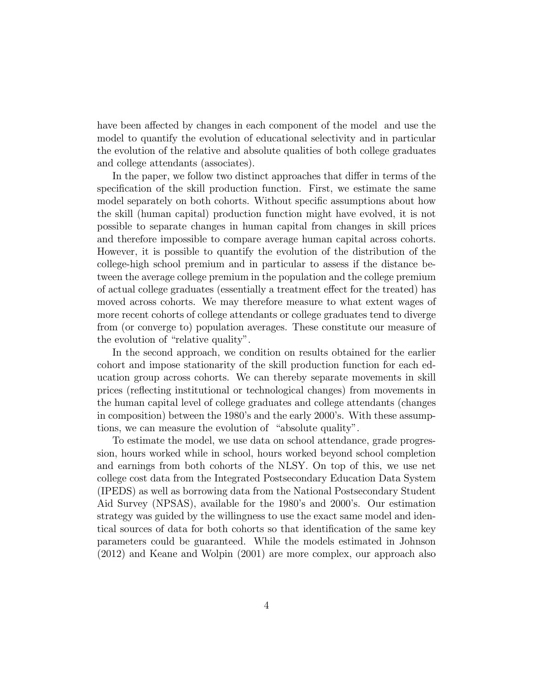have been affected by changes in each component of the model and use the model to quantify the evolution of educational selectivity and in particular the evolution of the relative and absolute qualities of both college graduates and college attendants (associates).

In the paper, we follow two distinct approaches that differ in terms of the specification of the skill production function. First, we estimate the same model separately on both cohorts. Without specic assumptions about how the skill (human capital) production function might have evolved, it is not possible to separate changes in human capital from changes in skill prices and therefore impossible to compare average human capital across cohorts. However, it is possible to quantify the evolution of the distribution of the college-high school premium and in particular to assess if the distance between the average college premium in the population and the college premium of actual college graduates (essentially a treatment effect for the treated) has moved across cohorts. We may therefore measure to what extent wages of more recent cohorts of college attendants or college graduates tend to diverge from (or converge to) population averages. These constitute our measure of the evolution of "relative quality".

In the second approach, we condition on results obtained for the earlier cohort and impose stationarity of the skill production function for each education group across cohorts. We can thereby separate movements in skill prices (reflecting institutional or technological changes) from movements in the human capital level of college graduates and college attendants (changes in composition) between the 1980's and the early 2000's. With these assumptions, we can measure the evolution of "absolute quality".

To estimate the model, we use data on school attendance, grade progression, hours worked while in school, hours worked beyond school completion and earnings from both cohorts of the NLSY. On top of this, we use net college cost data from the Integrated Postsecondary Education Data System (IPEDS) as well as borrowing data from the National Postsecondary Student Aid Survey (NPSAS), available for the 1980's and 2000's. Our estimation strategy was guided by the willingness to use the exact same model and identical sources of data for both cohorts so that identication of the same key parameters could be guaranteed. While the models estimated in Johnson (2012) and Keane and Wolpin (2001) are more complex, our approach also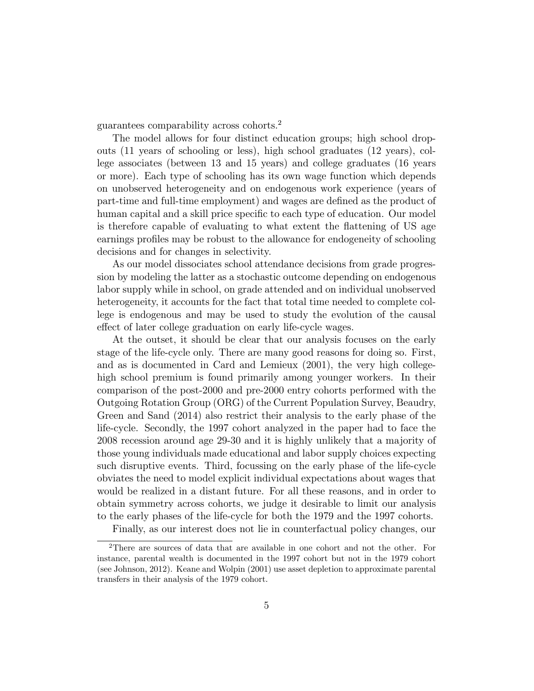guarantees comparability across cohorts.<sup>2</sup>

The model allows for four distinct education groups; high school dropouts (11 years of schooling or less), high school graduates (12 years), college associates (between 13 and 15 years) and college graduates (16 years or more). Each type of schooling has its own wage function which depends on unobserved heterogeneity and on endogenous work experience (years of part-time and full-time employment) and wages are defined as the product of human capital and a skill price specific to each type of education. Our model is therefore capable of evaluating to what extent the 
attening of US age earnings profiles may be robust to the allowance for endogeneity of schooling decisions and for changes in selectivity.

As our model dissociates school attendance decisions from grade progression by modeling the latter as a stochastic outcome depending on endogenous labor supply while in school, on grade attended and on individual unobserved heterogeneity, it accounts for the fact that total time needed to complete college is endogenous and may be used to study the evolution of the causal effect of later college graduation on early life-cycle wages.

At the outset, it should be clear that our analysis focuses on the early stage of the life-cycle only. There are many good reasons for doing so. First, and as is documented in Card and Lemieux (2001), the very high collegehigh school premium is found primarily among younger workers. In their comparison of the post-2000 and pre-2000 entry cohorts performed with the Outgoing Rotation Group (ORG) of the Current Population Survey, Beaudry, Green and Sand (2014) also restrict their analysis to the early phase of the life-cycle. Secondly, the 1997 cohort analyzed in the paper had to face the 2008 recession around age 29-30 and it is highly unlikely that a majority of those young individuals made educational and labor supply choices expecting such disruptive events. Third, focussing on the early phase of the life-cycle obviates the need to model explicit individual expectations about wages that would be realized in a distant future. For all these reasons, and in order to obtain symmetry across cohorts, we judge it desirable to limit our analysis to the early phases of the life-cycle for both the 1979 and the 1997 cohorts.

Finally, as our interest does not lie in counterfactual policy changes, our

<sup>2</sup>There are sources of data that are available in one cohort and not the other. For instance, parental wealth is documented in the 1997 cohort but not in the 1979 cohort (see Johnson, 2012). Keane and Wolpin (2001) use asset depletion to approximate parental transfers in their analysis of the 1979 cohort.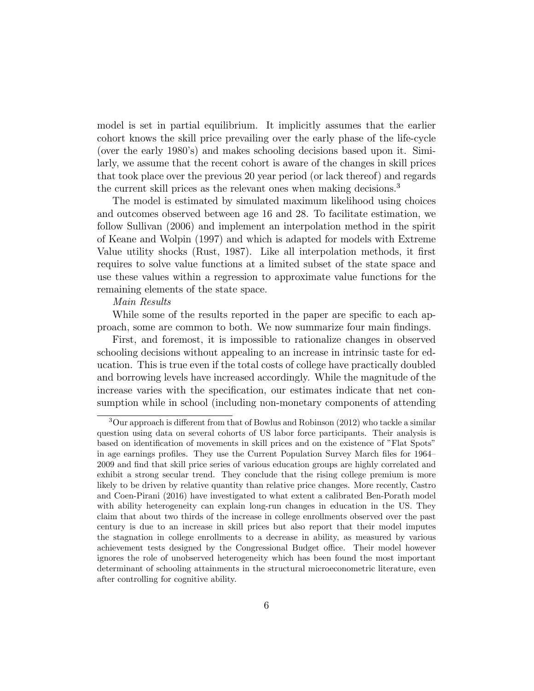model is set in partial equilibrium. It implicitly assumes that the earlier cohort knows the skill price prevailing over the early phase of the life-cycle (over the early 1980's) and makes schooling decisions based upon it. Similarly, we assume that the recent cohort is aware of the changes in skill prices that took place over the previous 20 year period (or lack thereof) and regards the current skill prices as the relevant ones when making decisions.<sup>3</sup>

The model is estimated by simulated maximum likelihood using choices and outcomes observed between age 16 and 28. To facilitate estimation, we follow Sullivan (2006) and implement an interpolation method in the spirit of Keane and Wolpin (1997) and which is adapted for models with Extreme Value utility shocks (Rust, 1987). Like all interpolation methods, it first requires to solve value functions at a limited subset of the state space and use these values within a regression to approximate value functions for the remaining elements of the state space.

#### Main Results

While some of the results reported in the paper are specific to each approach, some are common to both. We now summarize four main ndings.

First, and foremost, it is impossible to rationalize changes in observed schooling decisions without appealing to an increase in intrinsic taste for education. This is true even if the total costs of college have practically doubled and borrowing levels have increased accordingly. While the magnitude of the increase varies with the specication, our estimates indicate that net consumption while in school (including non-monetary components of attending

 $3$ Our approach is different from that of Bowlus and Robinson (2012) who tackle a similar question using data on several cohorts of US labor force participants. Their analysis is based on identication of movements in skill prices and on the existence of "Flat Spots" in age earnings profiles. They use the Current Population Survey March files for 1964 2009 and find that skill price series of various education groups are highly correlated and exhibit a strong secular trend. They conclude that the rising college premium is more likely to be driven by relative quantity than relative price changes. More recently, Castro and Coen-Pirani (2016) have investigated to what extent a calibrated Ben-Porath model with ability heterogeneity can explain long-run changes in education in the US. They claim that about two thirds of the increase in college enrollments observed over the past century is due to an increase in skill prices but also report that their model imputes the stagnation in college enrollments to a decrease in ability, as measured by various achievement tests designed by the Congressional Budget office. Their model however ignores the role of unobserved heterogeneity which has been found the most important determinant of schooling attainments in the structural microeconometric literature, even after controlling for cognitive ability.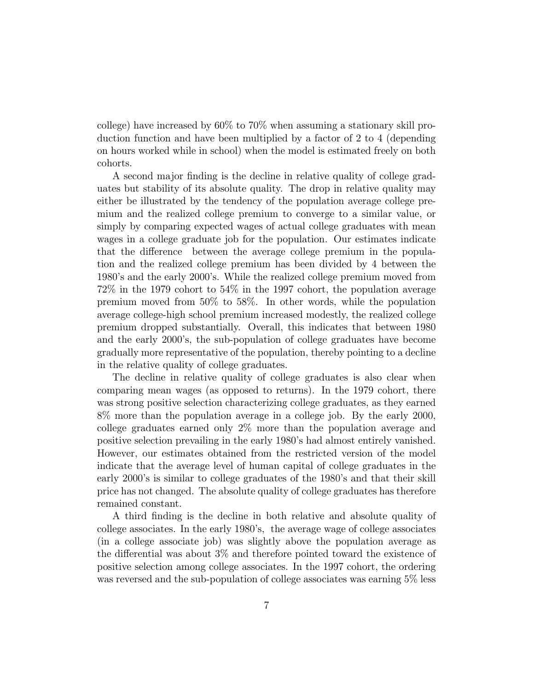college) have increased by 60% to 70% when assuming a stationary skill production function and have been multiplied by a factor of 2 to 4 (depending on hours worked while in school) when the model is estimated freely on both cohorts.

A second major finding is the decline in relative quality of college graduates but stability of its absolute quality. The drop in relative quality may either be illustrated by the tendency of the population average college premium and the realized college premium to converge to a similar value, or simply by comparing expected wages of actual college graduates with mean wages in a college graduate job for the population. Our estimates indicate that the difference between the average college premium in the population and the realized college premium has been divided by 4 between the 1980's and the early 2000's. While the realized college premium moved from 72% in the 1979 cohort to 54% in the 1997 cohort, the population average premium moved from 50% to 58%. In other words, while the population average college-high school premium increased modestly, the realized college premium dropped substantially. Overall, this indicates that between 1980 and the early 2000's, the sub-population of college graduates have become gradually more representative of the population, thereby pointing to a decline in the relative quality of college graduates.

The decline in relative quality of college graduates is also clear when comparing mean wages (as opposed to returns). In the 1979 cohort, there was strong positive selection characterizing college graduates, as they earned 8% more than the population average in a college job. By the early 2000, college graduates earned only 2% more than the population average and positive selection prevailing in the early 1980's had almost entirely vanished. However, our estimates obtained from the restricted version of the model indicate that the average level of human capital of college graduates in the early 2000's is similar to college graduates of the 1980's and that their skill price has not changed. The absolute quality of college graduates has therefore remained constant.

A third finding is the decline in both relative and absolute quality of college associates. In the early 1980's, the average wage of college associates (in a college associate job) was slightly above the population average as the differential was about  $3\%$  and therefore pointed toward the existence of positive selection among college associates. In the 1997 cohort, the ordering was reversed and the sub-population of college associates was earning 5% less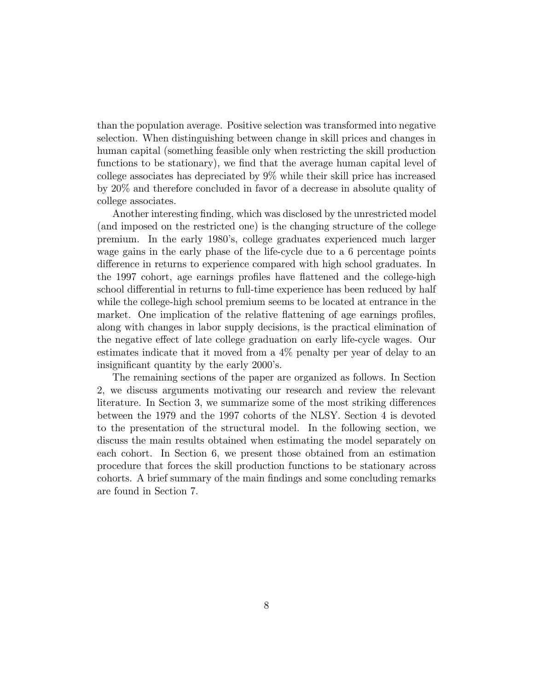than the population average. Positive selection was transformed into negative selection. When distinguishing between change in skill prices and changes in human capital (something feasible only when restricting the skill production functions to be stationary), we find that the average human capital level of college associates has depreciated by 9% while their skill price has increased by 20% and therefore concluded in favor of a decrease in absolute quality of college associates.

Another interesting finding, which was disclosed by the unrestricted model (and imposed on the restricted one) is the changing structure of the college premium. In the early 1980's, college graduates experienced much larger wage gains in the early phase of the life-cycle due to a 6 percentage points difference in returns to experience compared with high school graduates. In the 1997 cohort, age earnings profiles have flattened and the college-high school differential in returns to full-time experience has been reduced by half while the college-high school premium seems to be located at entrance in the market. One implication of the relative flattening of age earnings profiles, along with changes in labor supply decisions, is the practical elimination of the negative effect of late college graduation on early life-cycle wages. Our estimates indicate that it moved from a 4% penalty per year of delay to an insignicant quantity by the early 2000's.

The remaining sections of the paper are organized as follows. In Section 2, we discuss arguments motivating our research and review the relevant literature. In Section 3, we summarize some of the most striking differences between the 1979 and the 1997 cohorts of the NLSY. Section 4 is devoted to the presentation of the structural model. In the following section, we discuss the main results obtained when estimating the model separately on each cohort. In Section 6, we present those obtained from an estimation procedure that forces the skill production functions to be stationary across cohorts. A brief summary of the main findings and some concluding remarks are found in Section 7.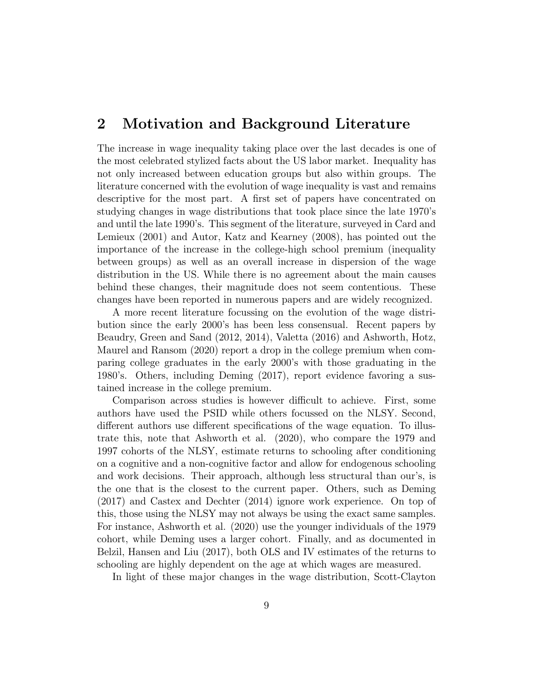# 2 Motivation and Background Literature

The increase in wage inequality taking place over the last decades is one of the most celebrated stylized facts about the US labor market. Inequality has not only increased between education groups but also within groups. The literature concerned with the evolution of wage inequality is vast and remains descriptive for the most part. A first set of papers have concentrated on studying changes in wage distributions that took place since the late 1970's and until the late 1990's. This segment of the literature, surveyed in Card and Lemieux (2001) and Autor, Katz and Kearney (2008), has pointed out the importance of the increase in the college-high school premium (inequality between groups) as well as an overall increase in dispersion of the wage distribution in the US. While there is no agreement about the main causes behind these changes, their magnitude does not seem contentious. These changes have been reported in numerous papers and are widely recognized.

A more recent literature focussing on the evolution of the wage distribution since the early 2000's has been less consensual. Recent papers by Beaudry, Green and Sand (2012, 2014), Valetta (2016) and Ashworth, Hotz, Maurel and Ransom (2020) report a drop in the college premium when comparing college graduates in the early 2000's with those graduating in the 1980's. Others, including Deming (2017), report evidence favoring a sustained increase in the college premium.

Comparison across studies is however difficult to achieve. First, some authors have used the PSID while others focussed on the NLSY. Second, different authors use different specifications of the wage equation. To illustrate this, note that Ashworth et al. (2020), who compare the 1979 and 1997 cohorts of the NLSY, estimate returns to schooling after conditioning on a cognitive and a non-cognitive factor and allow for endogenous schooling and work decisions. Their approach, although less structural than our's, is the one that is the closest to the current paper. Others, such as Deming (2017) and Castex and Dechter (2014) ignore work experience. On top of this, those using the NLSY may not always be using the exact same samples. For instance, Ashworth et al. (2020) use the younger individuals of the 1979 cohort, while Deming uses a larger cohort. Finally, and as documented in Belzil, Hansen and Liu (2017), both OLS and IV estimates of the returns to schooling are highly dependent on the age at which wages are measured.

In light of these major changes in the wage distribution, Scott-Clayton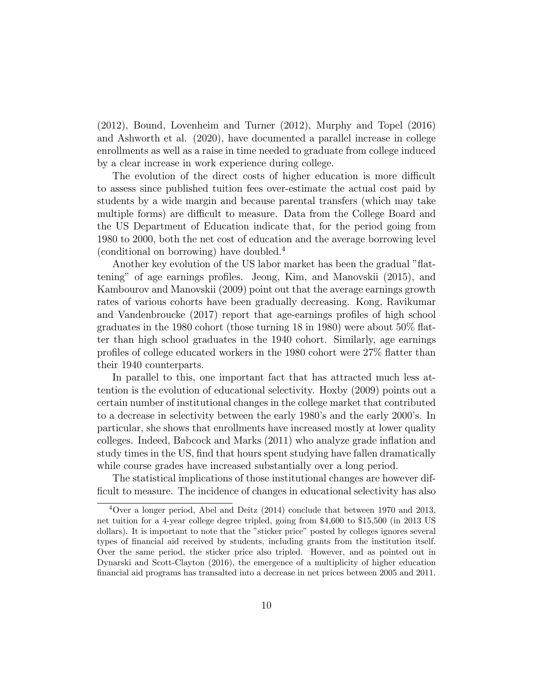(2012), Bound, Lovenheim and Turner (2012), Murphy and Topel (2016) and Ashworth et al. (2020), have documented a parallel increase in college enrollments as well as a raise in time needed to graduate from college induced by a clear increase in work experience during college.

The evolution of the direct costs of higher education is more difficult to assess since published tuition fees over-estimate the actual cost paid by students by a wide margin and because parental transfers (which may take multiple forms) are difficult to measure. Data from the College Board and the US Department of Education indicate that, for the period going from 1980 to 2000, both the net cost of education and the average borrowing level (conditional on borrowing) have doubled.<sup>4</sup>

Another key evolution of the US labor market has been the gradual "flattening" of age earnings proles. Jeong, Kim, and Manovskii (2015), and Kambourov and Manovskii (2009) point out that the average earnings growth rates of various cohorts have been gradually decreasing. Kong, Ravikumar and Vandenbroucke (2017) report that age-earnings proles of high school graduates in the 1980 cohort (those turning 18 in 1980) were about 50% 
atter than high school graduates in the 1940 cohort. Similarly, age earnings profiles of college educated workers in the 1980 cohort were  $27\%$  flatter than their 1940 counterparts.

In parallel to this, one important fact that has attracted much less attention is the evolution of educational selectivity. Hoxby (2009) points out a certain number of institutional changes in the college market that contributed to a decrease in selectivity between the early 1980's and the early 2000's. In particular, she shows that enrollments have increased mostly at lower quality colleges. Indeed, Babcock and Marks (2011) who analyze grade inflation and study times in the US, find that hours spent studying have fallen dramatically while course grades have increased substantially over a long period.

The statistical implications of those institutional changes are however dif ficult to measure. The incidence of changes in educational selectivity has also

<sup>4</sup>Over a longer period, Abel and Deitz (2014) conclude that between 1970 and 2013, net tuition for a 4-year college degree tripled, going from \$4,600 to \$15,500 (in 2013 US dollars). It is important to note that the "sticker price" posted by colleges ignores several types of nancial aid received by students, including grants from the institution itself. Over the same period, the sticker price also tripled. However, and as pointed out in Dynarski and Scott-Clayton (2016), the emergence of a multiplicity of higher education financial aid programs has transalted into a decrease in net prices between 2005 and 2011.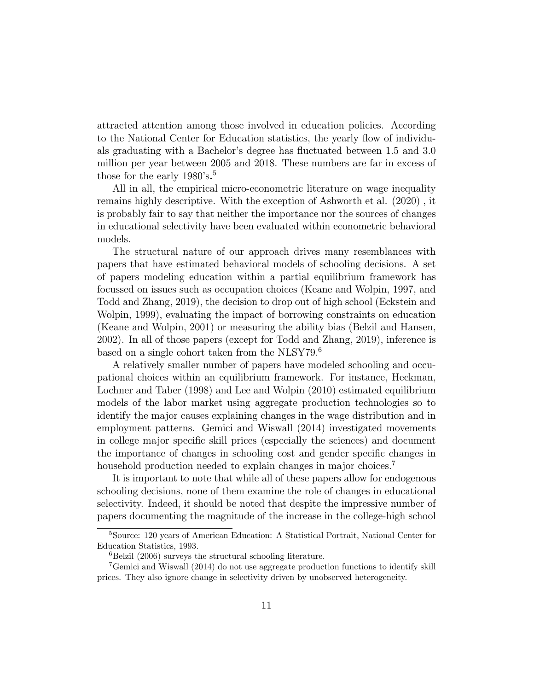attracted attention among those involved in education policies. According to the National Center for Education statistics, the yearly flow of individuals graduating with a Bachelor's degree has 
uctuated between 1.5 and 3.0 million per year between 2005 and 2018. These numbers are far in excess of those for the early 1980's.<sup>5</sup>

All in all, the empirical micro-econometric literature on wage inequality remains highly descriptive. With the exception of Ashworth et al. (2020) , it is probably fair to say that neither the importance nor the sources of changes in educational selectivity have been evaluated within econometric behavioral models.

The structural nature of our approach drives many resemblances with papers that have estimated behavioral models of schooling decisions. A set of papers modeling education within a partial equilibrium framework has focussed on issues such as occupation choices (Keane and Wolpin, 1997, and Todd and Zhang, 2019), the decision to drop out of high school (Eckstein and Wolpin, 1999), evaluating the impact of borrowing constraints on education (Keane and Wolpin, 2001) or measuring the ability bias (Belzil and Hansen, 2002). In all of those papers (except for Todd and Zhang, 2019), inference is based on a single cohort taken from the NLSY79.<sup>6</sup>

A relatively smaller number of papers have modeled schooling and occupational choices within an equilibrium framework. For instance, Heckman, Lochner and Taber (1998) and Lee and Wolpin (2010) estimated equilibrium models of the labor market using aggregate production technologies so to identify the major causes explaining changes in the wage distribution and in employment patterns. Gemici and Wiswall (2014) investigated movements in college major specic skill prices (especially the sciences) and document the importance of changes in schooling cost and gender specic changes in household production needed to explain changes in major choices.<sup>7</sup>

It is important to note that while all of these papers allow for endogenous schooling decisions, none of them examine the role of changes in educational selectivity. Indeed, it should be noted that despite the impressive number of papers documenting the magnitude of the increase in the college-high school

<sup>5</sup>Source: 120 years of American Education: A Statistical Portrait, National Center for Education Statistics, 1993.

 ${}^{6}$ Belzil (2006) surveys the structural schooling literature.

<sup>7</sup>Gemici and Wiswall (2014) do not use aggregate production functions to identify skill prices. They also ignore change in selectivity driven by unobserved heterogeneity.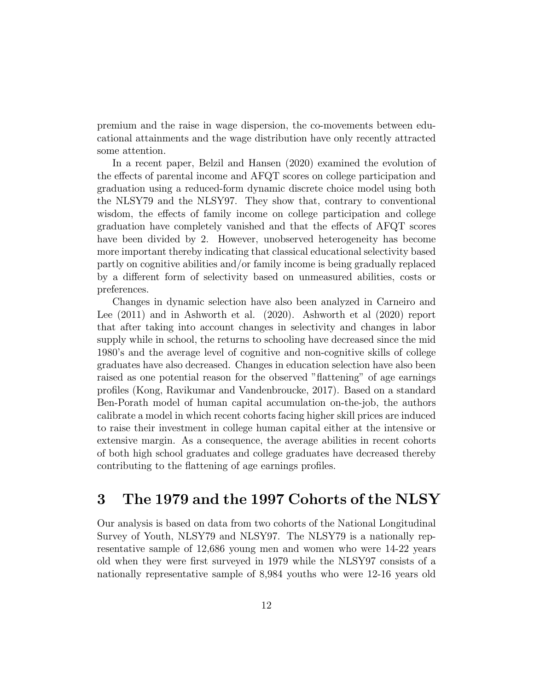premium and the raise in wage dispersion, the co-movements between educational attainments and the wage distribution have only recently attracted some attention.

In a recent paper, Belzil and Hansen (2020) examined the evolution of the effects of parental income and AFQT scores on college participation and graduation using a reduced-form dynamic discrete choice model using both the NLSY79 and the NLSY97. They show that, contrary to conventional wisdom, the effects of family income on college participation and college graduation have completely vanished and that the effects of AFQT scores have been divided by 2. However, unobserved heterogeneity has become more important thereby indicating that classical educational selectivity based partly on cognitive abilities and/or family income is being gradually replaced by a different form of selectivity based on unmeasured abilities, costs or preferences.

Changes in dynamic selection have also been analyzed in Carneiro and Lee (2011) and in Ashworth et al. (2020). Ashworth et al (2020) report that after taking into account changes in selectivity and changes in labor supply while in school, the returns to schooling have decreased since the mid 1980's and the average level of cognitive and non-cognitive skills of college graduates have also decreased. Changes in education selection have also been raised as one potential reason for the observed "flattening" of age earnings proles (Kong, Ravikumar and Vandenbroucke, 2017). Based on a standard Ben-Porath model of human capital accumulation on-the-job, the authors calibrate a model in which recent cohorts facing higher skill prices are induced to raise their investment in college human capital either at the intensive or extensive margin. As a consequence, the average abilities in recent cohorts of both high school graduates and college graduates have decreased thereby contributing to the flattening of age earnings profiles.

# 3 The 1979 and the 1997 Cohorts of the NLSY

Our analysis is based on data from two cohorts of the National Longitudinal Survey of Youth, NLSY79 and NLSY97. The NLSY79 is a nationally representative sample of 12,686 young men and women who were 14-22 years old when they were first surveyed in 1979 while the NLSY97 consists of a nationally representative sample of 8,984 youths who were 12-16 years old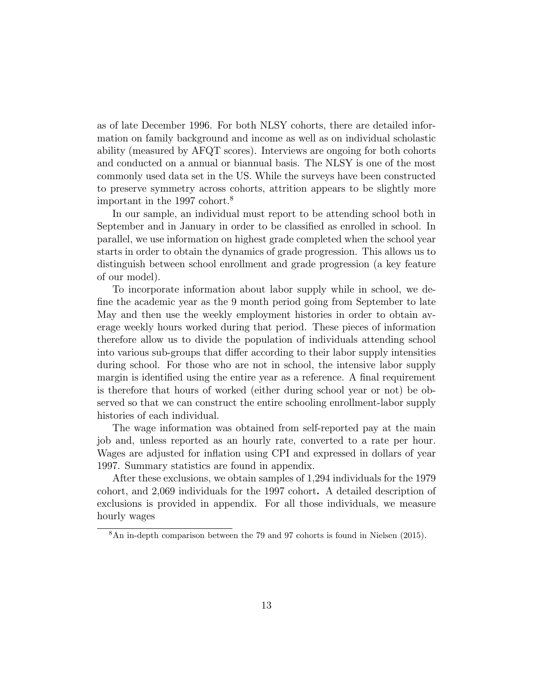as of late December 1996. For both NLSY cohorts, there are detailed information on family background and income as well as on individual scholastic ability (measured by AFQT scores). Interviews are ongoing for both cohorts and conducted on a annual or biannual basis. The NLSY is one of the most commonly used data set in the US. While the surveys have been constructed to preserve symmetry across cohorts, attrition appears to be slightly more important in the 1997 cohort.<sup>8</sup>

In our sample, an individual must report to be attending school both in September and in January in order to be classied as enrolled in school. In parallel, we use information on highest grade completed when the school year starts in order to obtain the dynamics of grade progression. This allows us to distinguish between school enrollment and grade progression (a key feature of our model).

To incorporate information about labor supply while in school, we de fine the academic year as the 9 month period going from September to late May and then use the weekly employment histories in order to obtain average weekly hours worked during that period. These pieces of information therefore allow us to divide the population of individuals attending school into various sub-groups that differ according to their labor supply intensities during school. For those who are not in school, the intensive labor supply margin is identified using the entire year as a reference. A final requirement is therefore that hours of worked (either during school year or not) be observed so that we can construct the entire schooling enrollment-labor supply histories of each individual.

The wage information was obtained from self-reported pay at the main job and, unless reported as an hourly rate, converted to a rate per hour. Wages are adjusted for inflation using CPI and expressed in dollars of year 1997. Summary statistics are found in appendix.

After these exclusions, we obtain samples of 1,294 individuals for the 1979 cohort, and 2,069 individuals for the 1997 cohort. A detailed description of exclusions is provided in appendix. For all those individuals, we measure hourly wages

<sup>8</sup>An in-depth comparison between the 79 and 97 cohorts is found in Nielsen (2015).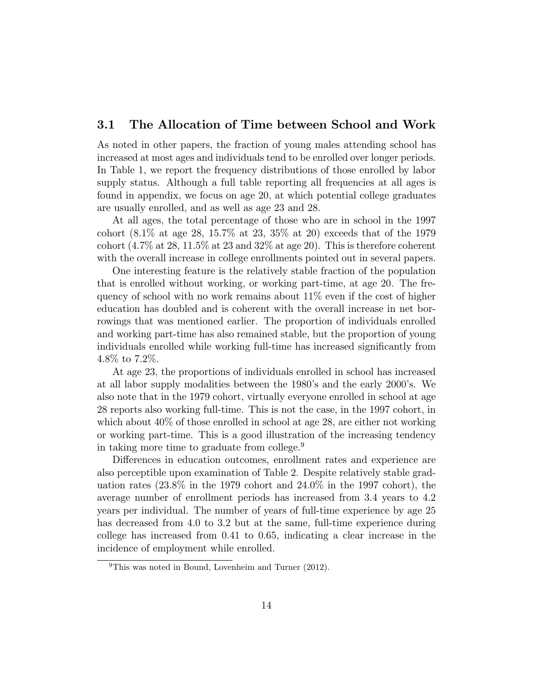### 3.1 The Allocation of Time between School and Work

As noted in other papers, the fraction of young males attending school has increased at most ages and individuals tend to be enrolled over longer periods. In Table 1, we report the frequency distributions of those enrolled by labor supply status. Although a full table reporting all frequencies at all ages is found in appendix, we focus on age 20, at which potential college graduates are usually enrolled, and as well as age 23 and 28.

At all ages, the total percentage of those who are in school in the 1997 cohort (8.1% at age 28, 15.7% at 23, 35% at 20) exceeds that of the 1979 cohort  $(4.7\% \text{ at } 28, 11.5\% \text{ at } 23 \text{ and } 32\% \text{ at age } 20)$ . This is therefore coherent with the overall increase in college enrollments pointed out in several papers.

One interesting feature is the relatively stable fraction of the population that is enrolled without working, or working part-time, at age 20. The frequency of school with no work remains about 11% even if the cost of higher education has doubled and is coherent with the overall increase in net borrowings that was mentioned earlier. The proportion of individuals enrolled and working part-time has also remained stable, but the proportion of young individuals enrolled while working full-time has increased signicantly from 4.8% to 7.2%.

At age 23, the proportions of individuals enrolled in school has increased at all labor supply modalities between the 1980's and the early 2000's. We also note that in the 1979 cohort, virtually everyone enrolled in school at age 28 reports also working full-time. This is not the case, in the 1997 cohort, in which about  $40\%$  of those enrolled in school at age 28, are either not working or working part-time. This is a good illustration of the increasing tendency in taking more time to graduate from college.<sup>9</sup>

Differences in education outcomes, enrollment rates and experience are also perceptible upon examination of Table 2. Despite relatively stable graduation rates (23.8% in the 1979 cohort and 24.0% in the 1997 cohort), the average number of enrollment periods has increased from 3.4 years to 4.2 years per individual. The number of years of full-time experience by age 25 has decreased from 4.0 to 3.2 but at the same, full-time experience during college has increased from 0.41 to 0.65, indicating a clear increase in the incidence of employment while enrolled.

 $^{9}$ This was noted in Bound, Lovenheim and Turner (2012).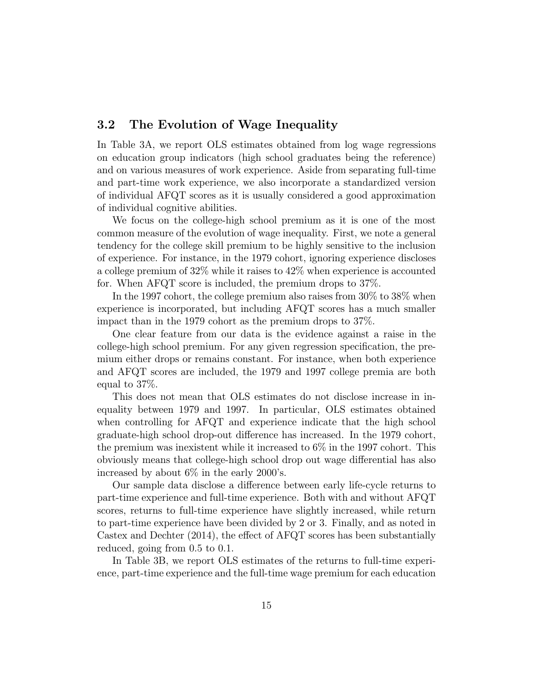### 3.2 The Evolution of Wage Inequality

In Table 3A, we report OLS estimates obtained from log wage regressions on education group indicators (high school graduates being the reference) and on various measures of work experience. Aside from separating full-time and part-time work experience, we also incorporate a standardized version of individual AFQT scores as it is usually considered a good approximation of individual cognitive abilities.

We focus on the college-high school premium as it is one of the most common measure of the evolution of wage inequality. First, we note a general tendency for the college skill premium to be highly sensitive to the inclusion of experience. For instance, in the 1979 cohort, ignoring experience discloses a college premium of 32% while it raises to 42% when experience is accounted for. When AFQT score is included, the premium drops to 37%.

In the 1997 cohort, the college premium also raises from 30% to 38% when experience is incorporated, but including AFQT scores has a much smaller impact than in the 1979 cohort as the premium drops to 37%.

One clear feature from our data is the evidence against a raise in the college-high school premium. For any given regression specification, the premium either drops or remains constant. For instance, when both experience and AFQT scores are included, the 1979 and 1997 college premia are both equal to 37%.

This does not mean that OLS estimates do not disclose increase in inequality between 1979 and 1997. In particular, OLS estimates obtained when controlling for AFQT and experience indicate that the high school graduate-high school drop-out difference has increased. In the 1979 cohort, the premium was inexistent while it increased to 6% in the 1997 cohort. This obviously means that college-high school drop out wage differential has also increased by about 6% in the early 2000's.

Our sample data disclose a difference between early life-cycle returns to part-time experience and full-time experience. Both with and without AFQT scores, returns to full-time experience have slightly increased, while return to part-time experience have been divided by 2 or 3. Finally, and as noted in Castex and Dechter  $(2014)$ , the effect of AFQT scores has been substantially reduced, going from 0.5 to 0.1.

In Table 3B, we report OLS estimates of the returns to full-time experience, part-time experience and the full-time wage premium for each education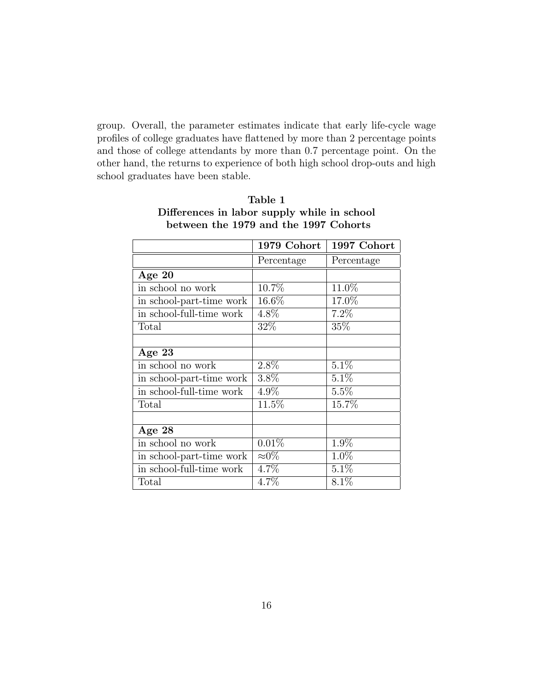group. Overall, the parameter estimates indicate that early life-cycle wage profiles of college graduates have flattened by more than 2 percentage points and those of college attendants by more than 0.7 percentage point. On the other hand, the returns to experience of both high school drop-outs and high school graduates have been stable.

|                          | 1979 Cohort   | 1997 Cohort |
|--------------------------|---------------|-------------|
|                          | Percentage    | Percentage  |
| Age $20$                 |               |             |
| in school no work        | 10.7%         | 11.0%       |
| in school-part-time work | 16.6%         | 17.0%       |
| in school-full-time work | 4.8%          | 7.2%        |
| Total                    | 32\%          | 35%         |
|                          |               |             |
| Age 23                   |               |             |
| in school no work        | 2.8%          | $5.1\%$     |
| in school-part-time work | 3.8%          | 5.1%        |
| in school-full-time work | 4.9%          | 5.5%        |
| Total                    | 11.5%         | 15.7%       |
|                          |               |             |
| Age $28$                 |               |             |
| in school no work        | 0.01%         | 1.9%        |
| in school-part-time work | $\approx 0\%$ | 1.0%        |
| in school-full-time work | 4.7%          | 5.1%        |
| Total                    | $4.7\%$       | 8.1%        |

## Table 1 Differences in labor supply while in school between the 1979 and the 1997 Cohorts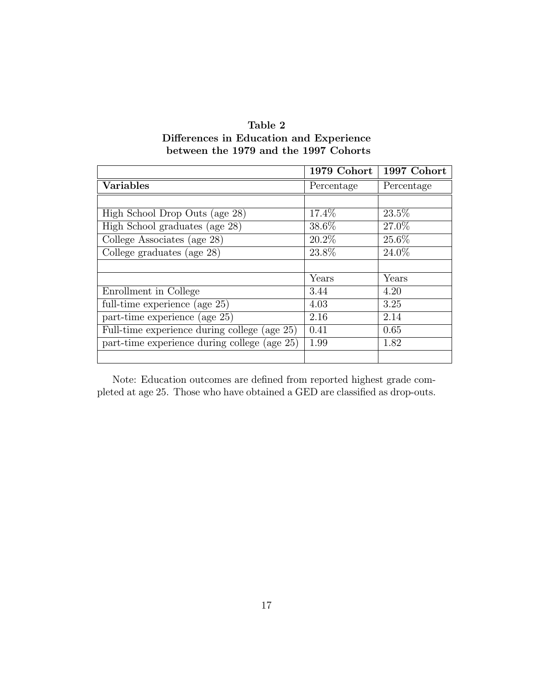| Table 2                                 |
|-----------------------------------------|
| Differences in Education and Experience |
| between the 1979 and the 1997 Cohorts   |

|                                              | 1979 Cohort | 1997 Cohort |
|----------------------------------------------|-------------|-------------|
| <b>Variables</b>                             | Percentage  | Percentage  |
|                                              |             |             |
| High School Drop Outs (age 28)               | 17.4%       | 23.5\%      |
| High School graduates (age 28)               | 38.6%       | 27.0%       |
| College Associates (age 28)                  | 20.2%       | 25.6%       |
| College graduates (age 28)                   | 23.8%       | 24.0%       |
|                                              |             |             |
|                                              | Years       | Years       |
| Enrollment in College                        | 3.44        | 4.20        |
| full-time experience (age 25)                | 4.03        | 3.25        |
| part-time experience (age 25)                | 2.16        | 2.14        |
| Full-time experience during college (age 25) | 0.41        | 0.65        |
| part-time experience during college (age 25) | 1.99        | 1.82        |
|                                              |             |             |

Note: Education outcomes are defined from reported highest grade completed at age 25. Those who have obtained a GED are classified as drop-outs.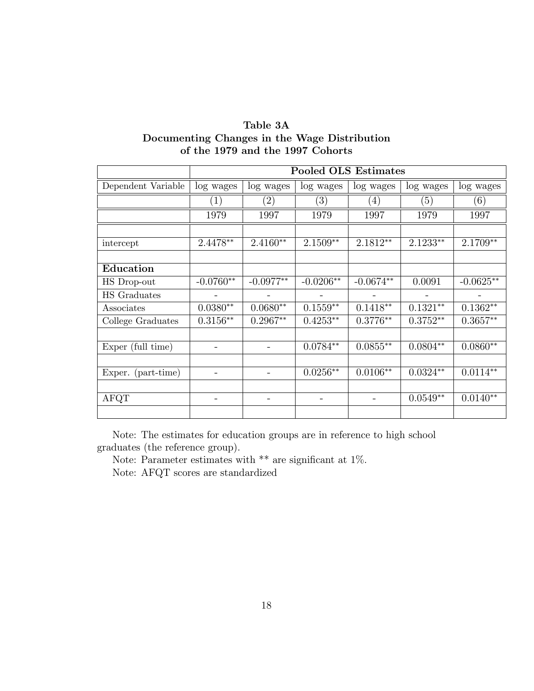| Table 3A                                     |
|----------------------------------------------|
| Documenting Changes in the Wage Distribution |
| of the 1979 and the 1997 Cohorts             |

|                     | <b>Pooled OLS Estimates</b> |                          |                   |                          |                          |             |
|---------------------|-----------------------------|--------------------------|-------------------|--------------------------|--------------------------|-------------|
| Dependent Variable  | log wages                   | log wages                | log wages         | log wages                | log wages                | log wages   |
|                     | (1)                         | $\left( 2\right)$        | $\left( 3\right)$ | $\left( 4\right)$        | (5)                      | (6)         |
|                     | 1979                        | 1997                     | 1979              | 1997                     | 1979                     | 1997        |
|                     |                             |                          |                   |                          |                          |             |
| intercept           | 2.4478**                    | $2.4160**$               | $2.1509**$        | 2.1812**                 | $2.1233**$               | 2.1709**    |
|                     |                             |                          |                   |                          |                          |             |
| Education           |                             |                          |                   |                          |                          |             |
| HS Drop-out         | $-0.0760**$                 | $-0.0977**$              | $-0.0206**$       | $-0.0674**$              | 0.0091                   | $-0.0625**$ |
| <b>HS</b> Graduates |                             | $\qquad \qquad -$        | $\qquad \qquad -$ | $\overline{\phantom{a}}$ | $\overline{\phantom{a}}$ |             |
| Associates          | $0.0380**$                  | $0.0680**$               | $0.1559**$        | $0.1418**$               | $0.1321**$               | $0.1362**$  |
| College Graduates   | $0.3156**$                  | $0.2967**$               | $0.4253**$        | $0.3776**$               | $0.3752**$               | $0.3657**$  |
|                     |                             |                          |                   |                          |                          |             |
| Exper (full time)   |                             |                          | $0.0784**$        | $0.0855**$               | $0.0804**$               | $0.0860**$  |
|                     |                             |                          |                   |                          |                          |             |
| Exper. (part-time)  |                             |                          | $0.0256**$        | $0.0106**$               | $0.0324**$               | $0.0114**$  |
|                     |                             |                          |                   |                          |                          |             |
| AFQT                |                             | $\overline{\phantom{0}}$ |                   |                          | $0.0549**$               | $0.0140**$  |
|                     |                             |                          |                   |                          |                          |             |

Note: The estimates for education groups are in reference to high school graduates (the reference group).

Note: Parameter estimates with \*\* are significant at 1%.

Note: AFQT scores are standardized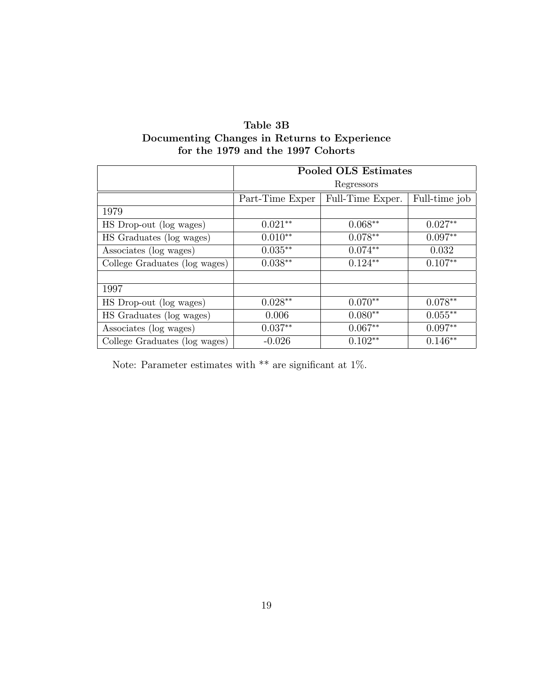| Table 3B                                     |
|----------------------------------------------|
| Documenting Changes in Returns to Experience |
| for the 1979 and the 1997 Cohorts            |

|                               | <b>Pooled OLS Estimates</b> |                  |               |  |
|-------------------------------|-----------------------------|------------------|---------------|--|
|                               | Regressors                  |                  |               |  |
|                               | Part-Time Exper             | Full-Time Exper. | Full-time job |  |
| 1979                          |                             |                  |               |  |
| HS Drop-out (log wages)       | $0.021**$                   | $0.068**$        | $0.027**$     |  |
| HS Graduates (log wages)      | $0.010**$                   | $0.078**$        | $0.097**$     |  |
| Associates (log wages)        | $0.035**$                   | $0.074**$        | 0.032         |  |
| College Graduates (log wages) | $0.038**$                   | $0.124**$        | $0.107**$     |  |
|                               |                             |                  |               |  |
| 1997                          |                             |                  |               |  |
| HS Drop-out (log wages)       | $0.028**$                   | $0.070**$        | $0.078**$     |  |
| HS Graduates (log wages)      | 0.006                       | $0.080**$        | $0.055**$     |  |
| Associates (log wages)        | $0.037**$                   | $0.067**$        | $0.097**$     |  |
| College Graduates (log wages) | $-0.026$                    | $0.102**$        | $0.146**$     |  |

Note: Parameter estimates with  $**$  are significant at 1%.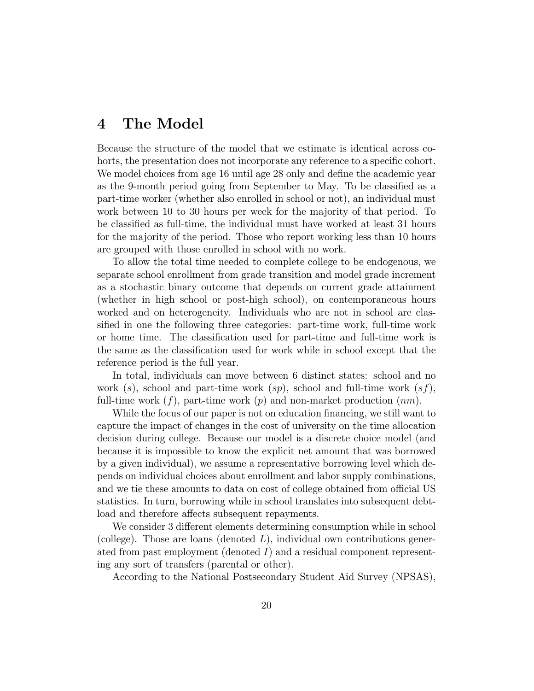## 4 The Model

Because the structure of the model that we estimate is identical across cohorts, the presentation does not incorporate any reference to a specific cohort. We model choices from age 16 until age 28 only and define the academic year as the 9-month period going from September to May. To be classied as a part-time worker (whether also enrolled in school or not), an individual must work between 10 to 30 hours per week for the majority of that period. To be classied as full-time, the individual must have worked at least 31 hours for the majority of the period. Those who report working less than 10 hours are grouped with those enrolled in school with no work.

To allow the total time needed to complete college to be endogenous, we separate school enrollment from grade transition and model grade increment as a stochastic binary outcome that depends on current grade attainment (whether in high school or post-high school), on contemporaneous hours worked and on heterogeneity. Individuals who are not in school are classified in one the following three categories: part-time work, full-time work or home time. The classication used for part-time and full-time work is the same as the classication used for work while in school except that the reference period is the full year.

In total, individuals can move between 6 distinct states: school and no work (s), school and part-time work  $(sp)$ , school and full-time work  $(sf)$ , full-time work  $(f)$ , part-time work  $(p)$  and non-market production  $(nm)$ .

While the focus of our paper is not on education financing, we still want to capture the impact of changes in the cost of university on the time allocation decision during college. Because our model is a discrete choice model (and because it is impossible to know the explicit net amount that was borrowed by a given individual), we assume a representative borrowing level which depends on individual choices about enrollment and labor supply combinations, and we tie these amounts to data on cost of college obtained from official US statistics. In turn, borrowing while in school translates into subsequent debtload and therefore affects subsequent repayments.

We consider 3 different elements determining consumption while in school (college). Those are loans (denoted  $L$ ), individual own contributions generated from past employment (denoted  $I$ ) and a residual component representing any sort of transfers (parental or other).

According to the National Postsecondary Student Aid Survey (NPSAS),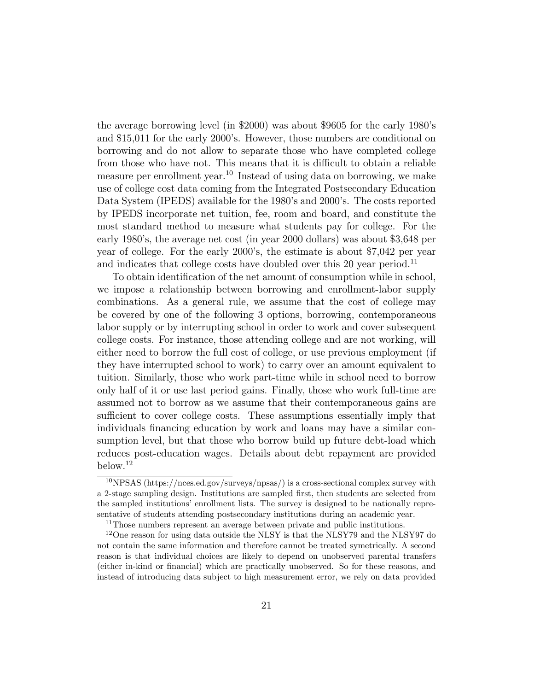the average borrowing level (in \$2000) was about \$9605 for the early 1980's and \$15,011 for the early 2000's. However, those numbers are conditional on borrowing and do not allow to separate those who have completed college from those who have not. This means that it is difficult to obtain a reliable measure per enrollment year.<sup>10</sup> Instead of using data on borrowing, we make use of college cost data coming from the Integrated Postsecondary Education Data System (IPEDS) available for the 1980's and 2000's. The costs reported by IPEDS incorporate net tuition, fee, room and board, and constitute the most standard method to measure what students pay for college. For the early 1980's, the average net cost (in year 2000 dollars) was about \$3,648 per year of college. For the early 2000's, the estimate is about \$7,042 per year and indicates that college costs have doubled over this 20 year period.<sup>11</sup>

To obtain identication of the net amount of consumption while in school, we impose a relationship between borrowing and enrollment-labor supply combinations. As a general rule, we assume that the cost of college may be covered by one of the following 3 options, borrowing, contemporaneous labor supply or by interrupting school in order to work and cover subsequent college costs. For instance, those attending college and are not working, will either need to borrow the full cost of college, or use previous employment (if they have interrupted school to work) to carry over an amount equivalent to tuition. Similarly, those who work part-time while in school need to borrow only half of it or use last period gains. Finally, those who work full-time are assumed not to borrow as we assume that their contemporaneous gains are sufficient to cover college costs. These assumptions essentially imply that individuals nancing education by work and loans may have a similar consumption level, but that those who borrow build up future debt-load which reduces post-education wages. Details about debt repayment are provided below.<sup>12</sup>

<sup>&</sup>lt;sup>10</sup>NPSAS (https://nces.ed.gov/surveys/npsas/) is a cross-sectional complex survey with a 2-stage sampling design. Institutions are sampled first, then students are selected from the sampled institutions' enrollment lists. The survey is designed to be nationally representative of students attending postsecondary institutions during an academic year.

<sup>&</sup>lt;sup>11</sup>Those numbers represent an average between private and public institutions.

<sup>12</sup>One reason for using data outside the NLSY is that the NLSY79 and the NLSY97 do not contain the same information and therefore cannot be treated symetrically. A second reason is that individual choices are likely to depend on unobserved parental transfers (either in-kind or financial) which are practically unobserved. So for these reasons, and instead of introducing data subject to high measurement error, we rely on data provided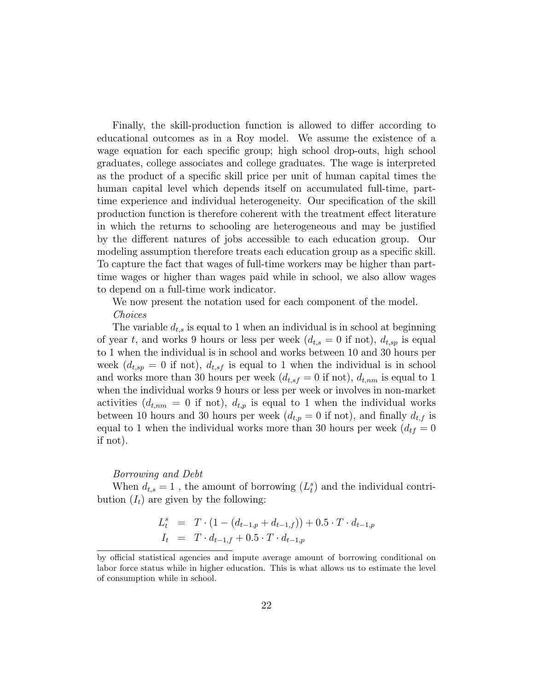Finally, the skill-production function is allowed to differ according to educational outcomes as in a Roy model. We assume the existence of a wage equation for each specific group; high school drop-outs, high school graduates, college associates and college graduates. The wage is interpreted as the product of a specic skill price per unit of human capital times the human capital level which depends itself on accumulated full-time, parttime experience and individual heterogeneity. Our specication of the skill production function is therefore coherent with the treatment effect literature in which the returns to schooling are heterogeneous and may be justied by the different natures of jobs accessible to each education group. Our modeling assumption therefore treats each education group as a specific skill. To capture the fact that wages of full-time workers may be higher than parttime wages or higher than wages paid while in school, we also allow wages to depend on a full-time work indicator.

We now present the notation used for each component of the model. Choices

The variable  $d_{t,s}$  is equal to 1 when an individual is in school at beginning of year t, and works 9 hours or less per week  $(d_{t,s} = 0$  if not),  $d_{t,sp}$  is equal to 1 when the individual is in school and works between 10 and 30 hours per week  $(d_{t,sp} = 0$  if not),  $d_{t,sf}$  is equal to 1 when the individual is in school and works more than 30 hours per week  $(d_{t,sf} = 0$  if not),  $d_{t,nm}$  is equal to 1 when the individual works 9 hours or less per week or involves in non-market activities  $(d_{t,nm} = 0$  if not),  $d_{t,p}$  is equal to 1 when the individual works between 10 hours and 30 hours per week  $(d_{t,p} = 0$  if not), and finally  $d_{t,f}$  is equal to 1 when the individual works more than 30 hours per week  $(d_{tf} = 0)$ if not).

#### Borrowing and Debt

When  $d_{t,s} = 1$ , the amount of borrowing  $(L_t^s)$  and the individual contribution  $(I_t)$  are given by the following:

$$
L_t^s = T \cdot (1 - (d_{t-1,p} + d_{t-1,f})) + 0.5 \cdot T \cdot d_{t-1,p}
$$
  
\n
$$
I_t = T \cdot d_{t-1,f} + 0.5 \cdot T \cdot d_{t-1,p}
$$

by official statistical agencies and impute average amount of borrowing conditional on labor force status while in higher education. This is what allows us to estimate the level of consumption while in school.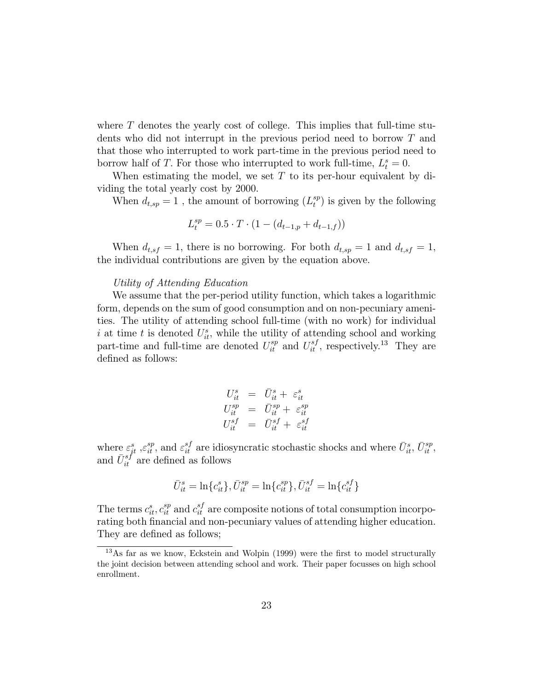where T denotes the yearly cost of college. This implies that full-time students who did not interrupt in the previous period need to borrow T and that those who interrupted to work part-time in the previous period need to borrow half of T. For those who interrupted to work full-time,  $L_t^s = 0$ .

When estimating the model, we set  $T$  to its per-hour equivalent by dividing the total yearly cost by 2000.

When  $d_{t,sp} = 1$ , the amount of borrowing  $(L_t^{sp})$  $t_t^{sp}$ ) is given by the following

$$
L_t^{sp} = 0.5 \cdot T \cdot (1 - (d_{t-1,p} + d_{t-1,f}))
$$

When  $d_{t,sf} = 1$ , there is no borrowing. For both  $d_{t,sp} = 1$  and  $d_{t,sf} = 1$ , the individual contributions are given by the equation above.

#### Utility of Attending Education

We assume that the per-period utility function, which takes a logarithmic form, depends on the sum of good consumption and on non-pecuniary amenities. The utility of attending school full-time (with no work) for individual i at time t is denoted  $U_{it}^s$ , while the utility of attending school and working part-time and full-time are denoted  $U_{it}^{sp}$  and  $U_{it}^{sf}$ , respectively.<sup>13</sup> They are defined as follows:

$$
U_{it}^s = \bar{U}_{it}^s + \varepsilon_{it}^s
$$
  

$$
U_{it}^{sp} = \bar{U}_{it}^{sp} + \varepsilon_{it}^{sp}
$$
  

$$
U_{it}^{sf} = \bar{U}_{it}^{sf} + \varepsilon_{it}^{sf}
$$

where  $\varepsilon_{it}^s$ ,  $\varepsilon_{it}^{sp}$ , and  $\varepsilon_{it}^{sf}$  are idiosyncratic stochastic shocks and where  $\bar{U}_{it}^s$ ,  $\bar{U}_{it}^{sp}$ , and  $\bar{U}_{it}^{sf}$  are defined as follows

$$
\bar{U}^s_{it} = \ln\{c^s_{it}\}, \bar{U}^{sp}_{it} = \ln\{c^{sp}_{it}\}, \bar{U}^{sf}_{it} = \ln\{c^{sf}_{it}\}
$$

The terms  $c_{it}^s$ ,  $c_{it}^{sp}$  and  $c_{it}^{sf}$  are composite notions of total consumption incorporating both financial and non-pecuniary values of attending higher education. They are defined as follows;

 $13\text{As}$  far as we know, Eckstein and Wolpin (1999) were the first to model structurally the joint decision between attending school and work. Their paper focusses on high school enrollment.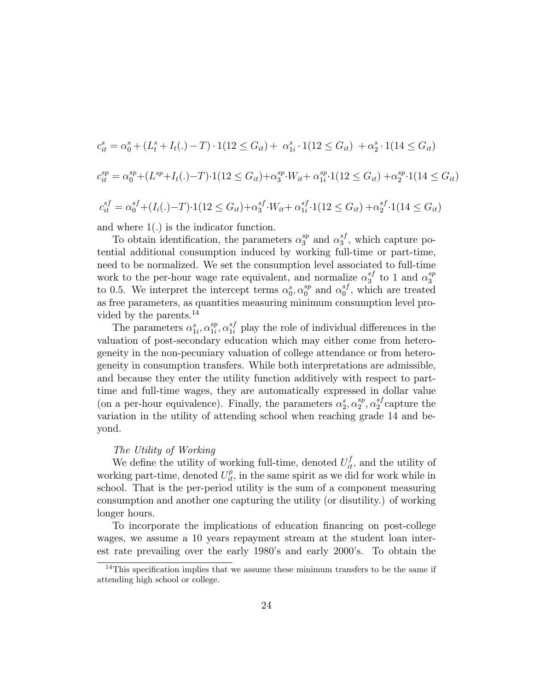$$
c_{it}^{s} = \alpha_{0}^{s} + (L_{t}^{s} + I_{t}(.) - T) \cdot 1(12 \leq G_{it}) + \alpha_{1i}^{s} \cdot 1(12 \leq G_{it}) + \alpha_{2}^{s} \cdot 1(14 \leq G_{it})
$$
  
\n
$$
c_{it}^{sp} = \alpha_{0}^{sp} + (L^{sp} + I_{t}(.) - T) \cdot 1(12 \leq G_{it}) + \alpha_{3}^{sp} \cdot W_{it} + \alpha_{1i}^{sp} \cdot 1(12 \leq G_{it}) + \alpha_{2}^{sp} \cdot 1(14 \leq G_{it})
$$
  
\n
$$
c_{it}^{sf} = \alpha_{0}^{sf} + (I_{i}(.) - T) \cdot 1(12 \leq G_{it}) + \alpha_{3}^{sf} \cdot W_{it} + \alpha_{1i}^{sf} \cdot 1(12 \leq G_{it}) + \alpha_{2}^{sf} \cdot 1(14 \leq G_{it})
$$

and where  $1(.)$  is the indicator function.

To obtain identification, the parameters  $\alpha_3^{sp}$  $_3^{sp}$  and  $\alpha_3^{sf}$  $_3^{sJ}$ , which capture potential additional consumption induced by working full-time or part-time, need to be normalized. We set the consumption level associated to full-time work to the per-hour wage rate equivalent, and normalize  $\alpha_3^{sf}$  $_3^{sf}$  to 1 and  $\alpha_3^{sp}$ 3 to 0.5. We interpret the intercept terms  $\alpha_0^s, \alpha_0^{sp}$  $_0^{sp}$  and  $\alpha_0^{sf}$  $_{0}^{s_{J}}$ , which are treated as free parameters, as quantities measuring minimum consumption level provided by the parents.<sup>14</sup>

The parameters  $\alpha_{1i}^s, \alpha_{1i}^{sp}$  $_{1i}^{sp}$ ,  $\alpha_{1i}^{sf}$  play the role of individual differences in the valuation of post-secondary education which may either come from heterogeneity in the non-pecuniary valuation of college attendance or from heterogeneity in consumption transfers. While both interpretations are admissible, and because they enter the utility function additively with respect to parttime and full-time wages, they are automatically expressed in dollar value (on a per-hour equivalence). Finally, the parameters  $\alpha_2^s, \alpha_2^{sp}$  $_2^{sp}, \alpha_2^{sf}$  $_2^{s_J}$ capture the variation in the utility of attending school when reaching grade 14 and beyond.

#### The Utility of Working

We define the utility of working full-time, denoted  $U_{it}^f$ , and the utility of working part-time, denoted  $U_{it}^p$ , in the same spirit as we did for work while in school. That is the per-period utility is the sum of a component measuring consumption and another one capturing the utility (or disutility.) of working longer hours.

To incorporate the implications of education nancing on post-college wages, we assume a 10 years repayment stream at the student loan interest rate prevailing over the early 1980's and early 2000's. To obtain the

<sup>&</sup>lt;sup>14</sup>This specification implies that we assume these minimum transfers to be the same if attending high school or college.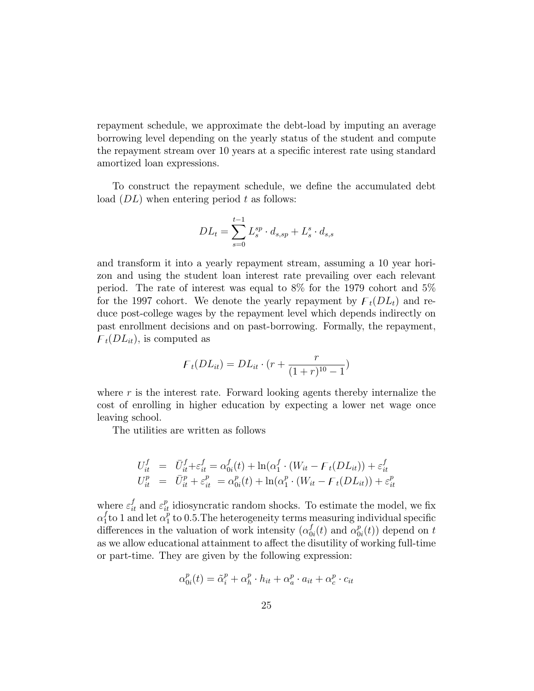repayment schedule, we approximate the debt-load by imputing an average borrowing level depending on the yearly status of the student and compute the repayment stream over 10 years at a specic interest rate using standard amortized loan expressions.

To construct the repayment schedule, we define the accumulated debt load  $(DL)$  when entering period t as follows:

$$
DL_t = \sum_{s=0}^{t-1} L_s^{sp} \cdot d_{s,sp} + L_s^s \cdot d_{s,s}
$$

and transform it into a yearly repayment stream, assuming a 10 year horizon and using the student loan interest rate prevailing over each relevant period. The rate of interest was equal to 8% for the 1979 cohort and 5% for the 1997 cohort. We denote the yearly repayment by  $F_t(DL_t)$  and reduce post-college wages by the repayment level which depends indirectly on past enrollment decisions and on past-borrowing. Formally, the repayment,  $F_t(DL_{it})$ , is computed as

$$
F_t(DL_{it}) = DL_{it} \cdot (r + \frac{r}{(1+r)^{10} - 1})
$$

where  $r$  is the interest rate. Forward looking agents thereby internalize the cost of enrolling in higher education by expecting a lower net wage once leaving school.

The utilities are written as follows

$$
U_{it}^f = \bar{U}_{it}^f + \varepsilon_{it}^f = \alpha_{0i}^f(t) + \ln(\alpha_1^f \cdot (W_{it} - \mathcal{F}_t(DL_{it})) + \varepsilon_{it}^f
$$
  

$$
U_{it}^p = \bar{U}_{it}^p + \varepsilon_{it}^p = \alpha_{0i}^p(t) + \ln(\alpha_1^p \cdot (W_{it} - \mathcal{F}_t(DL_{it})) + \varepsilon_{it}^p
$$

where  $\varepsilon_{it}^f$  and  $\varepsilon_{it}^p$  idiosyncratic random shocks. To estimate the model, we fix  $\alpha_1^f$  $\frac{f}{1}$ to 1 and let  $\alpha_1^p$  $\frac{p}{1}$  to 0.5. The heterogeneity terms measuring individual specific differences in the valuation of work intensity  $(\alpha_0^f)$  $_{0i}^{f}(t)$  and  $\alpha_0^p$  $_{0i}^{p}(t)$  depend on t as we allow educational attainment to affect the disutility of working full-time or part-time. They are given by the following expression:

$$
\alpha_{0i}^p(t) = \tilde{\alpha}_i^p + \alpha_h^p \cdot h_{it} + \alpha_a^p \cdot a_{it} + \alpha_c^p \cdot c_{it}
$$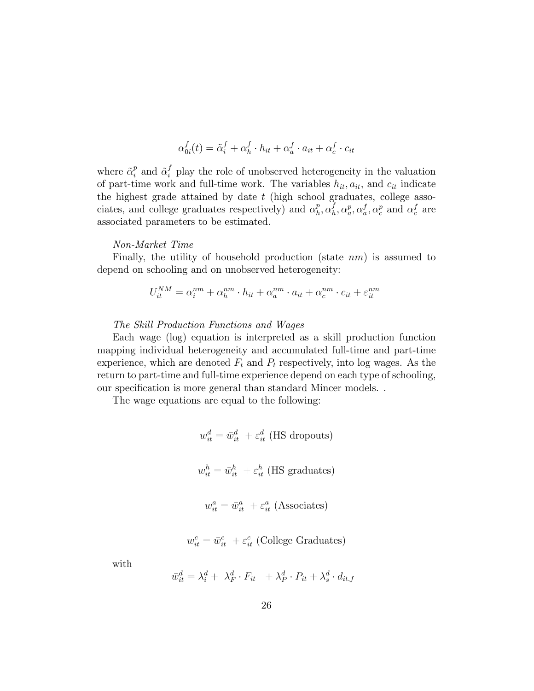$$
\alpha_{0i}^f(t) = \tilde{\alpha}_i^f + \alpha_h^f \cdot h_{it} + \alpha_a^f \cdot a_{it} + \alpha_c^f \cdot c_{it}
$$

where  $\tilde{\alpha}_i^p$  $\tilde{i}$  and  $\tilde{\alpha}_i^f$  play the role of unobserved heterogeneity in the valuation of part-time work and full-time work. The variables  $h_{it}$ ,  $a_{it}$ , and  $c_{it}$  indicate the highest grade attained by date  $t$  (high school graduates, college associates, and college graduates respectively) and  $\alpha_h^p$  $_{h}^{p},\alpha_{h}^{f}$  ${}_{h}^{f}, \alpha_{a}^{p}, \alpha_{a}^{f}, \alpha_{c}^{p}$  and  $\alpha_{c}^{f}$  are associated parameters to be estimated.

#### Non-Market Time

Finally, the utility of household production (state nm) is assumed to depend on schooling and on unobserved heterogeneity:

$$
U_{it}^{NM} = \alpha_i^{nm} + \alpha_h^{nm} \cdot h_{it} + \alpha_a^{nm} \cdot a_{it} + \alpha_c^{nm} \cdot c_{it} + \varepsilon_{it}^{nm}
$$

#### The Skill Production Functions and Wages

Each wage (log) equation is interpreted as a skill production function mapping individual heterogeneity and accumulated full-time and part-time experience, which are denoted  $F_t$  and  $P_t$  respectively, into log wages. As the return to part-time and full-time experience depend on each type of schooling, our specification is more general than standard Mincer models. .

The wage equations are equal to the following:

$$
w_{it}^{d} = \bar{w}_{it}^{d} + \varepsilon_{it}^{d}
$$
 (HS dropouts)  

$$
w_{it}^{h} = \bar{w}_{it}^{h} + \varepsilon_{it}^{h}
$$
 (HS graduates)  

$$
w_{it}^{a} = \bar{w}_{it}^{a} + \varepsilon_{it}^{a}
$$
 (Associates)

$$
w_{it}^c = \bar{w}_{it}^c + \varepsilon_{it}^c
$$
 (College Graduates)

with

$$
\bar{w}_{it}^d = \lambda_i^d + \lambda_F^d \cdot F_{it} + \lambda_P^d \cdot P_{it} + \lambda_s^d \cdot d_{it,f}
$$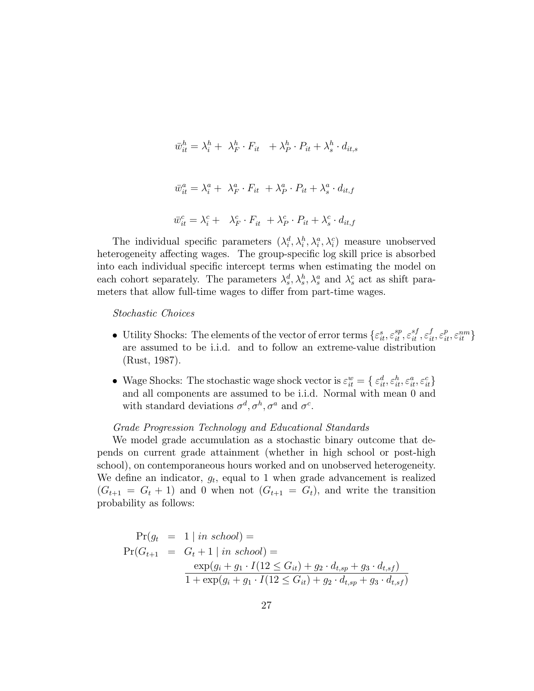$$
\bar{w}_{it}^h = \lambda_i^h + \lambda_F^h \cdot F_{it} + \lambda_P^h \cdot P_{it} + \lambda_s^h \cdot d_{it,s}
$$
  

$$
\bar{w}_{it}^a = \lambda_i^a + \lambda_F^a \cdot F_{it} + \lambda_P^a \cdot P_{it} + \lambda_s^a \cdot d_{it,f}
$$
  

$$
\bar{w}_{it}^c = \lambda_i^c + \lambda_F^c \cdot F_{it} + \lambda_P^c \cdot P_{it} + \lambda_s^c \cdot d_{it,f}
$$

The individual specific parameters  $(\lambda_i^d, \lambda_i^h, \lambda_i^a, \lambda_i^c)$  measure unobserved heterogeneity affecting wages. The group-specific log skill price is absorbed into each individual specic intercept terms when estimating the model on each cohort separately. The parameters  $\lambda_s^d, \lambda_s^h, \lambda_s^a$  and  $\lambda_s^c$  act as shift parameters that allow full-time wages to differ from part-time wages.

#### Stochastic Choices

- Utility Shocks: The elements of the vector of error terms  $\{\varepsilon_{it}^s, \varepsilon_{it}^{sp}, \varepsilon_{it}^{sf}, \varepsilon_{it}^f, \varepsilon_{it}^p, \varepsilon_{it}^{nm}\}$ are assumed to be i.i.d. and to follow an extreme-value distribution (Rust, 1987):
- Wage Shocks: The stochastic wage shock vector is  $\varepsilon_{it}^w = \{ \varepsilon_{it}^d, \varepsilon_{it}^h, \varepsilon_{it}^a, \varepsilon_{it}^c \}$ and all components are assumed to be i.i.d. Normal with mean 0 and with standard deviations  $\sigma^d, \sigma^h, \sigma^a$  and  $\sigma^c$ .

#### Grade Progression Technology and Educational Standards

We model grade accumulation as a stochastic binary outcome that depends on current grade attainment (whether in high school or post-high school), on contemporaneous hours worked and on unobserved heterogeneity. We define an indicator,  $g_t$ , equal to 1 when grade advancement is realized  $(G_{t+1} = G_t + 1)$  and 0 when not  $(G_{t+1} = G_t)$ , and write the transition probability as follows:

$$
\Pr(g_t = 1 | in school) =
$$
\n
$$
\Pr(G_{t+1} = G_t + 1 | in school) =
$$
\n
$$
\frac{\exp(g_i + g_1 \cdot I(12 \le G_{it}) + g_2 \cdot d_{t,sp} + g_3 \cdot d_{t,sf})}{1 + \exp(g_i + g_1 \cdot I(12 \le G_{it}) + g_2 \cdot d_{t,sp} + g_3 \cdot d_{t,sf})}
$$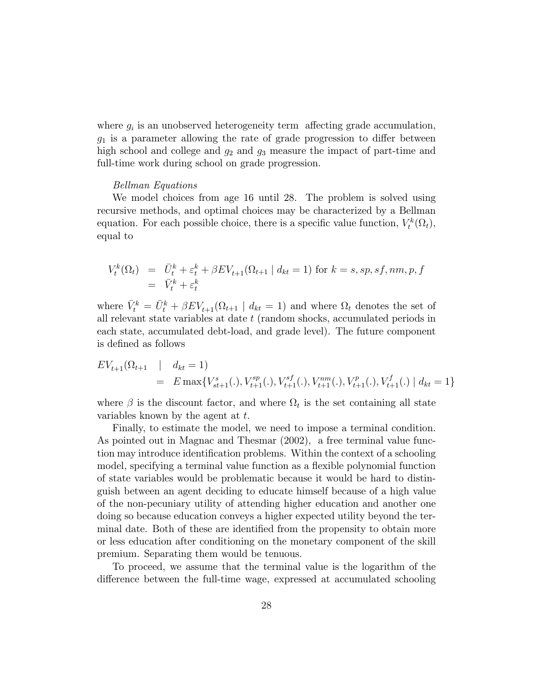where  $g_i$  is an unobserved heterogeneity term affecting grade accumulation,  $g_1$  is a parameter allowing the rate of grade progression to differ between high school and college and  $g_2$  and  $g_3$  measure the impact of part-time and full-time work during school on grade progression.

#### Bellman Equations

We model choices from age 16 until 28. The problem is solved using recursive methods, and optimal choices may be characterized by a Bellman equation. For each possible choice, there is a specific value function,  $V_t^k(\Omega_t)$ , equal to

$$
V_t^k(\Omega_t) = \bar{U}_t^k + \varepsilon_t^k + \beta E V_{t+1}(\Omega_{t+1} | d_{kt} = 1) \text{ for } k = s, sp, sf, nm, p, f
$$
  
= 
$$
\bar{V}_t^k + \varepsilon_t^k
$$

where  $\bar{V}_t^k = \bar{U}_t^k + \beta EV_{t+1}(\Omega_{t+1} \mid d_{kt} = 1)$  and where  $\Omega_t$  denotes the set of all relevant state variables at date t (random shocks, accumulated periods in each state, accumulated debt-load, and grade level). The future component is defined as follows

$$
EV_{t+1}(\Omega_{t+1} \mid d_{kt} = 1)
$$
  
=  $E \max \{ V_{st+1}^s(.), V_{t+1}^{sp}(.), V_{t+1}^{sf}(.), V_{t+1}^{nm}(.), V_{t+1}^p(.), V_{t+1}^f(.) \mid d_{kt} = 1 \}$ 

where  $\beta$  is the discount factor, and where  $\Omega_t$  is the set containing all state variables known by the agent at  $t$ .

Finally, to estimate the model, we need to impose a terminal condition. As pointed out in Magnac and Thesmar (2002), a free terminal value function may introduce identification problems. Within the context of a schooling model, specifying a terminal value function as a flexible polynomial function of state variables would be problematic because it would be hard to distinguish between an agent deciding to educate himself because of a high value of the non-pecuniary utility of attending higher education and another one doing so because education conveys a higher expected utility beyond the terminal date. Both of these are identied from the propensity to obtain more or less education after conditioning on the monetary component of the skill premium. Separating them would be tenuous.

To proceed, we assume that the terminal value is the logarithm of the difference between the full-time wage, expressed at accumulated schooling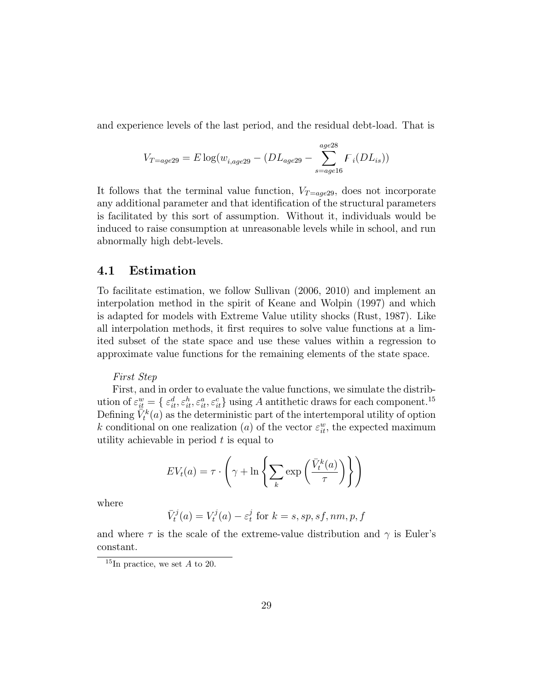and experience levels of the last period, and the residual debt-load. That is

$$
V_{T=age29} = E \log(w_{i,age29} - (DL_{age29} - \sum_{s=age16}^{age28} F_i (DL_{is}))
$$

It follows that the terminal value function,  $V_{T = age29}$ , does not incorporate any additional parameter and that identification of the structural parameters is facilitated by this sort of assumption. Without it, individuals would be induced to raise consumption at unreasonable levels while in school, and run abnormally high debt-levels.

### 4.1 Estimation

To facilitate estimation, we follow Sullivan (2006, 2010) and implement an interpolation method in the spirit of Keane and Wolpin (1997) and which is adapted for models with Extreme Value utility shocks (Rust, 1987). Like all interpolation methods, it first requires to solve value functions at a limited subset of the state space and use these values within a regression to approximate value functions for the remaining elements of the state space.

#### First Step

First, and in order to evaluate the value functions, we simulate the distribution of  $\varepsilon_{it}^w = \{\varepsilon_{it}^d, \varepsilon_{it}^h, \varepsilon_{it}^c, \varepsilon_{it}^c\}$  using A antithetic draws for each component.<sup>15</sup> Defining  $\tilde{V}_t^k(a)$  as the deterministic part of the intertemporal utility of option k conditional on one realization (*a*) of the vector  $\varepsilon_{it}^w$ , the expected maximum utility achievable in period  $t$  is equal to

$$
EV_t(a) = \tau \cdot \left(\gamma + \ln \left\{ \sum_k \exp \left( \frac{\bar{V}_t^k(a)}{\tau} \right) \right\} \right)
$$

where

$$
\bar{V}_t^j(a) = V_t^j(a) - \varepsilon_t^j \text{ for } k = s, sp, sf, nm, p, f
$$

and where  $\tau$  is the scale of the extreme-value distribution and  $\gamma$  is Euler's constant.

<sup>&</sup>lt;sup>15</sup>In practice, we set  $A$  to 20.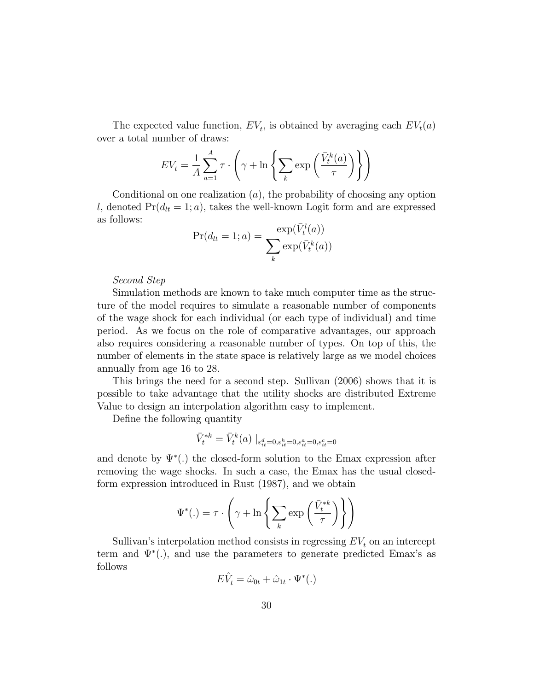The expected value function,  $EV_t$ , is obtained by averaging each  $EV_t(a)$ over a total number of draws:

$$
EV_t = \frac{1}{A} \sum_{a=1}^{A} \tau \cdot \left( \gamma + \ln \left\{ \sum_k \exp \left( \frac{\bar{V}_t^k(a)}{\tau} \right) \right\} \right)
$$

Conditional on one realization  $(a)$ , the probability of choosing any option l, denoted  $Pr(d_{lt} = 1; a)$ , takes the well-known Logit form and are expressed as follows:

$$
Pr(d_{lt} = 1; a) = \frac{\exp(\bar{V}_t^l(a))}{\sum_k \exp(\bar{V}_t^k(a))}
$$

#### Second Step

Simulation methods are known to take much computer time as the structure of the model requires to simulate a reasonable number of components of the wage shock for each individual (or each type of individual) and time period. As we focus on the role of comparative advantages, our approach also requires considering a reasonable number of types. On top of this, the number of elements in the state space is relatively large as we model choices annually from age 16 to 28.

This brings the need for a second step. Sullivan (2006) shows that it is possible to take advantage that the utility shocks are distributed Extreme Value to design an interpolation algorithm easy to implement.

Define the following quantity

$$
\bar{V}^{*k}_{t} = \bar{V}^{k}_{t}(a) \mid_{\varepsilon_{it}^{d} = 0, \varepsilon_{it}^{h} = 0, \varepsilon_{it}^{a} = 0, \varepsilon_{it}^{c} = 0}
$$

and denote by  $\Psi^*(.)$  the closed-form solution to the Emax expression after removing the wage shocks. In such a case, the Emax has the usual closedform expression introduced in Rust (1987), and we obtain

$$
\Psi^*(.) = \tau \cdot \left( \gamma + \ln \left\{ \sum_k \exp \left( \frac{\bar{V}_t^{*k}}{\tau} \right) \right\} \right)
$$

Sullivan's interpolation method consists in regressing  $EV<sub>t</sub>$  on an intercept term and  $\Psi^*(.)$ , and use the parameters to generate predicted Emax's as follows

$$
E\hat{V}_t = \hat{\omega}_{0t} + \hat{\omega}_{1t} \cdot \Psi^*(.)
$$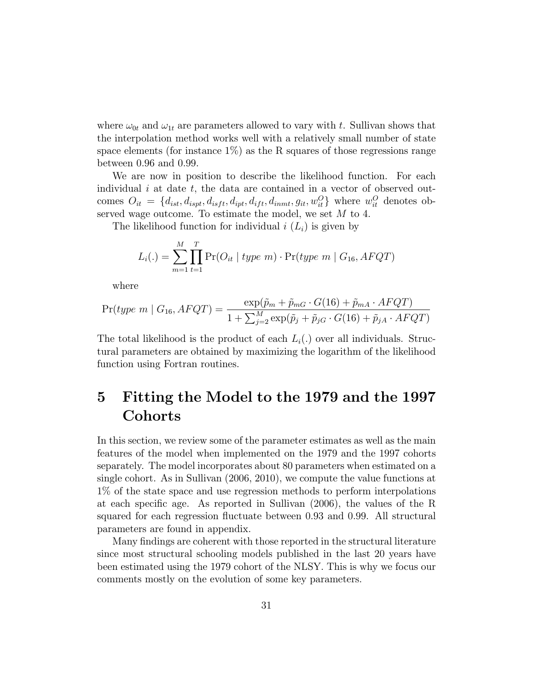where  $\omega_{0t}$  and  $\omega_{1t}$  are parameters allowed to vary with t. Sullivan shows that the interpolation method works well with a relatively small number of state space elements (for instance  $1\%$ ) as the R squares of those regressions range between 0.96 and 0.99.

We are now in position to describe the likelihood function. For each individual  $i$  at date  $t$ , the data are contained in a vector of observed outcomes  $O_{it} = \{d_{ist}, d_{ispt}, d_{ist}, d_{ipt}, d_{ift}, d_{inmt}, g_{it}, w_{it}^O\}$  where  $w_{it}^O$  denotes observed wage outcome. To estimate the model, we set M to 4.

The likelihood function for individual  $i(L_i)$  is given by

$$
L_i(.) = \sum_{m=1}^{M} \prod_{t=1}^{T} \Pr(O_{it} | type m) \cdot \Pr(type m | G_{16}, AFQT)
$$

where

$$
\Pr(type \ m \mid G_{16}, AFQT) = \frac{\exp(\tilde{p}_m + \tilde{p}_{mG} \cdot G(16) + \tilde{p}_{mA} \cdot AFQT)}{1 + \sum_{j=2}^{M} \exp(\tilde{p}_j + \tilde{p}_{jG} \cdot G(16) + \tilde{p}_{jA} \cdot AFQT)}
$$

The total likelihood is the product of each  $L_i(.)$  over all individuals. Structural parameters are obtained by maximizing the logarithm of the likelihood function using Fortran routines.

# 5 Fitting the Model to the 1979 and the 1997 **Cohorts**

In this section, we review some of the parameter estimates as well as the main features of the model when implemented on the 1979 and the 1997 cohorts separately. The model incorporates about 80 parameters when estimated on a single cohort. As in Sullivan (2006, 2010), we compute the value functions at 1% of the state space and use regression methods to perform interpolations at each specic age. As reported in Sullivan (2006), the values of the R squared for each regression 
uctuate between 0.93 and 0.99. All structural parameters are found in appendix.

Many findings are coherent with those reported in the structural literature since most structural schooling models published in the last 20 years have been estimated using the 1979 cohort of the NLSY. This is why we focus our comments mostly on the evolution of some key parameters.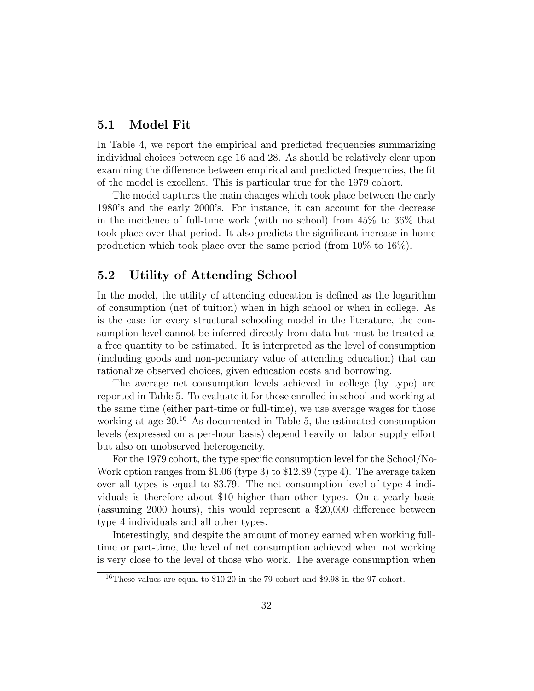#### 5.1 Model Fit

In Table 4, we report the empirical and predicted frequencies summarizing individual choices between age 16 and 28. As should be relatively clear upon examining the difference between empirical and predicted frequencies, the fit of the model is excellent. This is particular true for the 1979 cohort.

The model captures the main changes which took place between the early 1980's and the early 2000's. For instance, it can account for the decrease in the incidence of full-time work (with no school) from 45% to 36% that took place over that period. It also predicts the signicant increase in home production which took place over the same period (from 10% to 16%).

## 5.2 Utility of Attending School

In the model, the utility of attending education is defined as the logarithm of consumption (net of tuition) when in high school or when in college. As is the case for every structural schooling model in the literature, the consumption level cannot be inferred directly from data but must be treated as a free quantity to be estimated. It is interpreted as the level of consumption (including goods and non-pecuniary value of attending education) that can rationalize observed choices, given education costs and borrowing.

The average net consumption levels achieved in college (by type) are reported in Table 5. To evaluate it for those enrolled in school and working at the same time (either part-time or full-time), we use average wages for those working at age  $20<sup>16</sup>$  As documented in Table 5, the estimated consumption levels (expressed on a per-hour basis) depend heavily on labor supply effort but also on unobserved heterogeneity.

For the 1979 cohort, the type specific consumption level for the School/No-Work option ranges from \$1.06 (type 3) to \$12.89 (type 4). The average taken over all types is equal to \$3.79. The net consumption level of type 4 individuals is therefore about \$10 higher than other types. On a yearly basis (assuming 2000 hours), this would represent a  $$20,000$  difference between type 4 individuals and all other types.

Interestingly, and despite the amount of money earned when working fulltime or part-time, the level of net consumption achieved when not working is very close to the level of those who work. The average consumption when

 $^{16}$  These values are equal to  $\$10.20$  in the 79 cohort and  $\$9.98$  in the 97 cohort.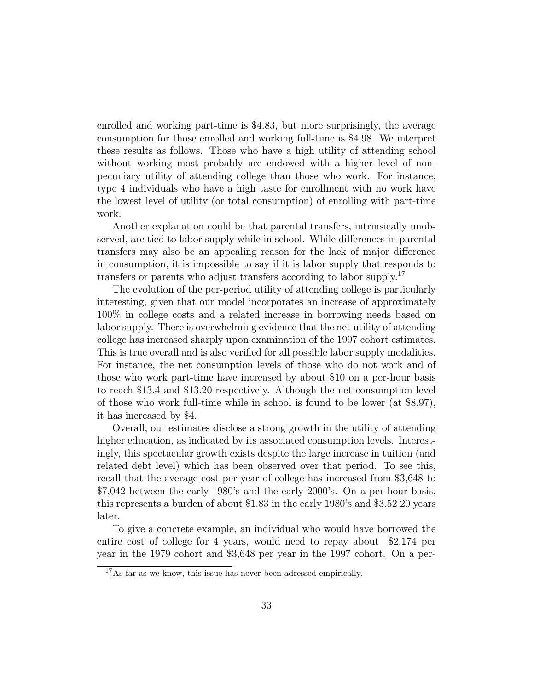enrolled and working part-time is \$4.83, but more surprisingly, the average consumption for those enrolled and working full-time is \$4.98. We interpret these results as follows. Those who have a high utility of attending school without working most probably are endowed with a higher level of nonpecuniary utility of attending college than those who work. For instance, type 4 individuals who have a high taste for enrollment with no work have the lowest level of utility (or total consumption) of enrolling with part-time work.

Another explanation could be that parental transfers, intrinsically unobserved, are tied to labor supply while in school. While differences in parental transfers may also be an appealing reason for the lack of major difference in consumption, it is impossible to say if it is labor supply that responds to transfers or parents who adjust transfers according to labor supply.<sup>17</sup>

The evolution of the per-period utility of attending college is particularly interesting, given that our model incorporates an increase of approximately 100% in college costs and a related increase in borrowing needs based on labor supply. There is overwhelming evidence that the net utility of attending college has increased sharply upon examination of the 1997 cohort estimates. This is true overall and is also verified for all possible labor supply modalities. For instance, the net consumption levels of those who do not work and of those who work part-time have increased by about \$10 on a per-hour basis to reach \$13.4 and \$13.20 respectively. Although the net consumption level of those who work full-time while in school is found to be lower (at \$8.97), it has increased by \$4.

Overall, our estimates disclose a strong growth in the utility of attending higher education, as indicated by its associated consumption levels. Interestingly, this spectacular growth exists despite the large increase in tuition (and related debt level) which has been observed over that period. To see this, recall that the average cost per year of college has increased from \$3,648 to \$7,042 between the early 1980's and the early 2000's. On a per-hour basis, this represents a burden of about \$1.83 in the early 1980's and \$3.52 20 years later.

To give a concrete example, an individual who would have borrowed the entire cost of college for 4 years, would need to repay about \$2,174 per year in the 1979 cohort and \$3,648 per year in the 1997 cohort. On a per-

<sup>&</sup>lt;sup>17</sup>As far as we know, this issue has never been adressed empirically.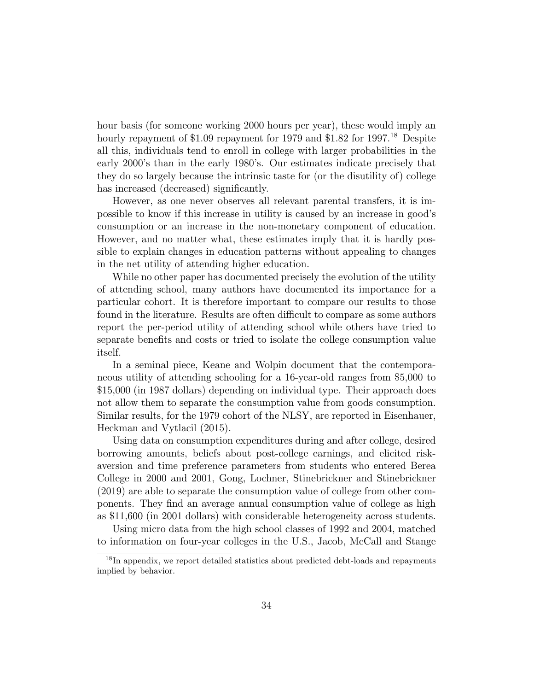hour basis (for someone working 2000 hours per year), these would imply an hourly repayment of \$1.09 repayment for 1979 and \$1.82 for 1997.<sup>18</sup> Despite all this, individuals tend to enroll in college with larger probabilities in the early 2000's than in the early 1980's. Our estimates indicate precisely that they do so largely because the intrinsic taste for (or the disutility of) college has increased (decreased) significantly.

However, as one never observes all relevant parental transfers, it is impossible to know if this increase in utility is caused by an increase in good's consumption or an increase in the non-monetary component of education. However, and no matter what, these estimates imply that it is hardly possible to explain changes in education patterns without appealing to changes in the net utility of attending higher education.

While no other paper has documented precisely the evolution of the utility of attending school, many authors have documented its importance for a particular cohort. It is therefore important to compare our results to those found in the literature. Results are often difficult to compare as some authors report the per-period utility of attending school while others have tried to separate benefits and costs or tried to isolate the college consumption value itself.

In a seminal piece, Keane and Wolpin document that the contemporaneous utility of attending schooling for a 16-year-old ranges from \$5,000 to \$15,000 (in 1987 dollars) depending on individual type. Their approach does not allow them to separate the consumption value from goods consumption. Similar results, for the 1979 cohort of the NLSY, are reported in Eisenhauer, Heckman and Vytlacil (2015).

Using data on consumption expenditures during and after college, desired borrowing amounts, beliefs about post-college earnings, and elicited riskaversion and time preference parameters from students who entered Berea College in 2000 and 2001, Gong, Lochner, Stinebrickner and Stinebrickner (2019) are able to separate the consumption value of college from other components. They find an average annual consumption value of college as high as \$11,600 (in 2001 dollars) with considerable heterogeneity across students.

Using micro data from the high school classes of 1992 and 2004, matched to information on four-year colleges in the U.S., Jacob, McCall and Stange

<sup>18</sup>In appendix, we report detailed statistics about predicted debt-loads and repayments implied by behavior.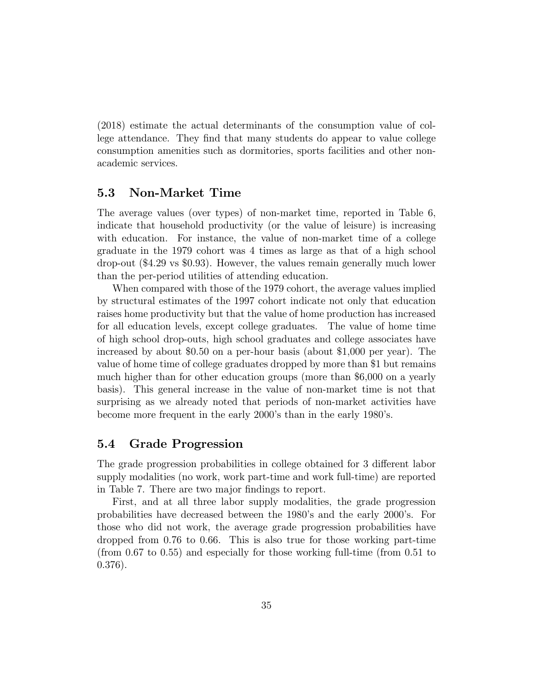(2018) estimate the actual determinants of the consumption value of college attendance. They find that many students do appear to value college consumption amenities such as dormitories, sports facilities and other nonacademic services.

### 5.3 Non-Market Time

The average values (over types) of non-market time, reported in Table 6, indicate that household productivity (or the value of leisure) is increasing with education. For instance, the value of non-market time of a college graduate in the 1979 cohort was 4 times as large as that of a high school drop-out (\$4.29 vs \$0.93). However, the values remain generally much lower than the per-period utilities of attending education.

When compared with those of the 1979 cohort, the average values implied by structural estimates of the 1997 cohort indicate not only that education raises home productivity but that the value of home production has increased for all education levels, except college graduates. The value of home time of high school drop-outs, high school graduates and college associates have increased by about \$0.50 on a per-hour basis (about \$1,000 per year). The value of home time of college graduates dropped by more than \$1 but remains much higher than for other education groups (more than \$6,000 on a yearly basis). This general increase in the value of non-market time is not that surprising as we already noted that periods of non-market activities have become more frequent in the early 2000's than in the early 1980's.

### 5.4 Grade Progression

The grade progression probabilities in college obtained for 3 different labor supply modalities (no work, work part-time and work full-time) are reported in Table 7. There are two major findings to report.

First, and at all three labor supply modalities, the grade progression probabilities have decreased between the 1980's and the early 2000's. For those who did not work, the average grade progression probabilities have dropped from 0.76 to 0.66. This is also true for those working part-time (from 0.67 to 0.55) and especially for those working full-time (from 0.51 to 0.376).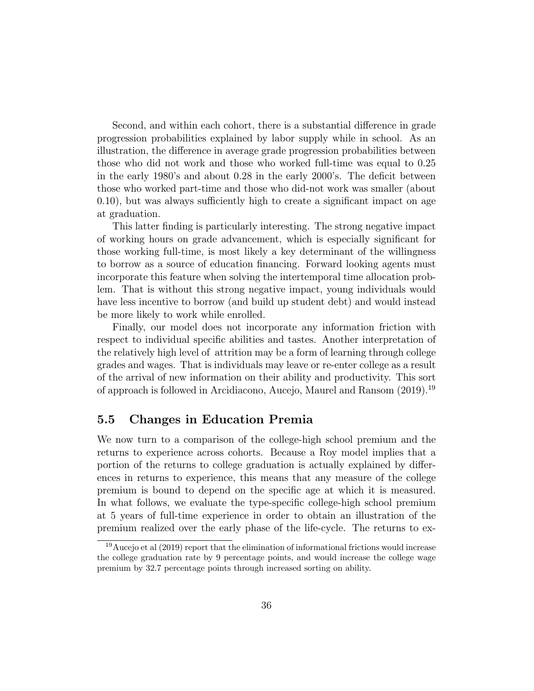Second, and within each cohort, there is a substantial difference in grade progression probabilities explained by labor supply while in school. As an illustration, the difference in average grade progression probabilities between those who did not work and those who worked full-time was equal to 0.25 in the early  $1980$ 's and about 0.28 in the early  $2000$ 's. The deficit between those who worked part-time and those who did-not work was smaller (about  $(0.10)$ , but was always sufficiently high to create a significant impact on age at graduation.

This latter finding is particularly interesting. The strong negative impact of working hours on grade advancement, which is especially signicant for those working full-time, is most likely a key determinant of the willingness to borrow as a source of education nancing. Forward looking agents must incorporate this feature when solving the intertemporal time allocation problem. That is without this strong negative impact, young individuals would have less incentive to borrow (and build up student debt) and would instead be more likely to work while enrolled.

Finally, our model does not incorporate any information friction with respect to individual specic abilities and tastes. Another interpretation of the relatively high level of attrition may be a form of learning through college grades and wages. That is individuals may leave or re-enter college as a result of the arrival of new information on their ability and productivity. This sort of approach is followed in Arcidiacono, Aucejo, Maurel and Ransom (2019).<sup>19</sup>

### 5.5 Changes in Education Premia

We now turn to a comparison of the college-high school premium and the returns to experience across cohorts. Because a Roy model implies that a portion of the returns to college graduation is actually explained by differences in returns to experience, this means that any measure of the college premium is bound to depend on the specific age at which it is measured. In what follows, we evaluate the type-specic college-high school premium at 5 years of full-time experience in order to obtain an illustration of the premium realized over the early phase of the life-cycle. The returns to ex-

<sup>19</sup>Aucejo et al (2019) report that the elimination of informational frictions would increase the college graduation rate by 9 percentage points, and would increase the college wage premium by 32.7 percentage points through increased sorting on ability.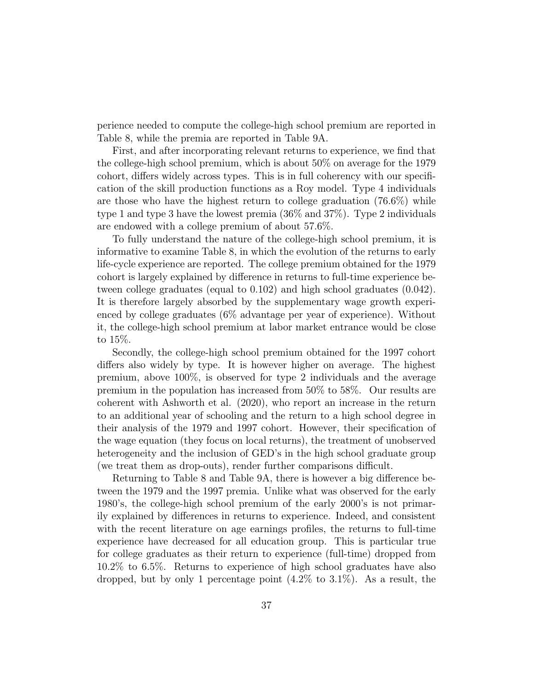perience needed to compute the college-high school premium are reported in Table 8, while the premia are reported in Table 9A.

First, and after incorporating relevant returns to experience, we find that the college-high school premium, which is about 50% on average for the 1979 cohort, differs widely across types. This is in full coherency with our specification of the skill production functions as a Roy model. Type 4 individuals are those who have the highest return to college graduation (76.6%) while type 1 and type 3 have the lowest premia (36% and 37%). Type 2 individuals are endowed with a college premium of about 57.6%.

To fully understand the nature of the college-high school premium, it is informative to examine Table 8, in which the evolution of the returns to early life-cycle experience are reported. The college premium obtained for the 1979 cohort is largely explained by difference in returns to full-time experience between college graduates (equal to 0.102) and high school graduates (0.042). It is therefore largely absorbed by the supplementary wage growth experienced by college graduates (6% advantage per year of experience). Without it, the college-high school premium at labor market entrance would be close to 15%.

Secondly, the college-high school premium obtained for the 1997 cohort differs also widely by type. It is however higher on average. The highest premium, above 100%, is observed for type 2 individuals and the average premium in the population has increased from 50% to 58%. Our results are coherent with Ashworth et al. (2020), who report an increase in the return to an additional year of schooling and the return to a high school degree in their analysis of the 1979 and 1997 cohort. However, their specication of the wage equation (they focus on local returns), the treatment of unobserved heterogeneity and the inclusion of GED's in the high school graduate group (we treat them as drop-outs), render further comparisons difficult.

Returning to Table 8 and Table 9A, there is however a big difference between the 1979 and the 1997 premia. Unlike what was observed for the early 1980's, the college-high school premium of the early 2000's is not primarily explained by differences in returns to experience. Indeed, and consistent with the recent literature on age earnings profiles, the returns to full-time experience have decreased for all education group. This is particular true for college graduates as their return to experience (full-time) dropped from 10.2% to 6.5%. Returns to experience of high school graduates have also dropped, but by only 1 percentage point  $(4.2\%$  to  $3.1\%)$ . As a result, the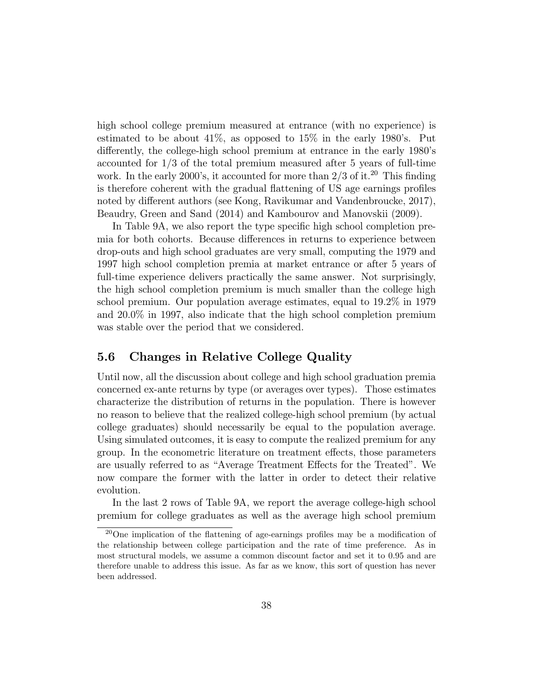high school college premium measured at entrance (with no experience) is estimated to be about  $41\%$ , as opposed to  $15\%$  in the early 1980's. Put differently, the college-high school premium at entrance in the early 1980's accounted for 1/3 of the total premium measured after 5 years of full-time work. In the early 2000's, it accounted for more than  $2/3$  of it.<sup>20</sup> This finding is therefore coherent with the gradual flattening of US age earnings profiles noted by different authors (see Kong, Ravikumar and Vandenbroucke, 2017), Beaudry, Green and Sand (2014) and Kambourov and Manovskii (2009).

In Table 9A, we also report the type specific high school completion premia for both cohorts. Because differences in returns to experience between drop-outs and high school graduates are very small, computing the 1979 and 1997 high school completion premia at market entrance or after 5 years of full-time experience delivers practically the same answer. Not surprisingly, the high school completion premium is much smaller than the college high school premium. Our population average estimates, equal to 19.2% in 1979 and 20.0% in 1997, also indicate that the high school completion premium was stable over the period that we considered.

## 5.6 Changes in Relative College Quality

Until now, all the discussion about college and high school graduation premia concerned ex-ante returns by type (or averages over types). Those estimates characterize the distribution of returns in the population. There is however no reason to believe that the realized college-high school premium (by actual college graduates) should necessarily be equal to the population average. Using simulated outcomes, it is easy to compute the realized premium for any group. In the econometric literature on treatment effects, those parameters are usually referred to as "Average Treatment Effects for the Treated". We now compare the former with the latter in order to detect their relative evolution.

In the last 2 rows of Table 9A, we report the average college-high school premium for college graduates as well as the average high school premium

 $^{20}$ One implication of the flattening of age-earnings profiles may be a modification of the relationship between college participation and the rate of time preference. As in most structural models, we assume a common discount factor and set it to 0.95 and are therefore unable to address this issue. As far as we know, this sort of question has never been addressed.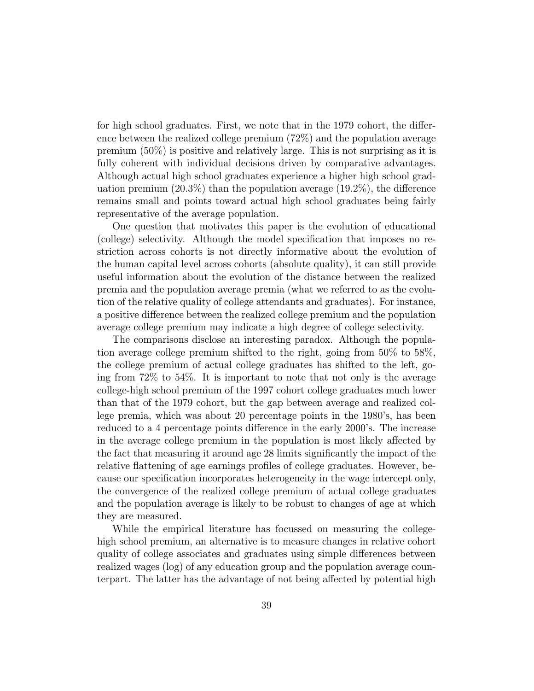for high school graduates. First, we note that in the 1979 cohort, the difference between the realized college premium (72%) and the population average premium (50%) is positive and relatively large. This is not surprising as it is fully coherent with individual decisions driven by comparative advantages. Although actual high school graduates experience a higher high school graduation premium  $(20.3\%)$  than the population average  $(19.2\%)$ , the difference remains small and points toward actual high school graduates being fairly representative of the average population.

One question that motivates this paper is the evolution of educational (college) selectivity. Although the model specication that imposes no restriction across cohorts is not directly informative about the evolution of the human capital level across cohorts (absolute quality), it can still provide useful information about the evolution of the distance between the realized premia and the population average premia (what we referred to as the evolution of the relative quality of college attendants and graduates). For instance, a positive difference between the realized college premium and the population average college premium may indicate a high degree of college selectivity.

The comparisons disclose an interesting paradox. Although the population average college premium shifted to the right, going from 50% to 58%, the college premium of actual college graduates has shifted to the left, going from 72% to 54%. It is important to note that not only is the average college-high school premium of the 1997 cohort college graduates much lower than that of the 1979 cohort, but the gap between average and realized college premia, which was about 20 percentage points in the 1980's, has been reduced to a 4 percentage points difference in the early 2000's. The increase in the average college premium in the population is most likely affected by the fact that measuring it around age 28 limits signicantly the impact of the relative flattening of age earnings profiles of college graduates. However, because our specication incorporates heterogeneity in the wage intercept only, the convergence of the realized college premium of actual college graduates and the population average is likely to be robust to changes of age at which they are measured.

While the empirical literature has focussed on measuring the collegehigh school premium, an alternative is to measure changes in relative cohort quality of college associates and graduates using simple differences between realized wages (log) of any education group and the population average counterpart. The latter has the advantage of not being affected by potential high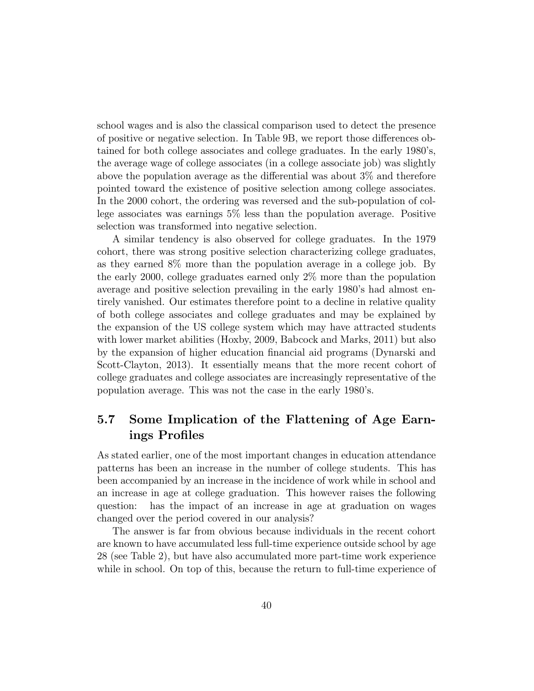school wages and is also the classical comparison used to detect the presence of positive or negative selection. In Table 9B, we report those dierences obtained for both college associates and college graduates. In the early 1980's, the average wage of college associates (in a college associate job) was slightly above the population average as the differential was about  $3\%$  and therefore pointed toward the existence of positive selection among college associates. In the 2000 cohort, the ordering was reversed and the sub-population of college associates was earnings 5% less than the population average. Positive selection was transformed into negative selection.

A similar tendency is also observed for college graduates. In the 1979 cohort, there was strong positive selection characterizing college graduates, as they earned 8% more than the population average in a college job. By the early 2000, college graduates earned only 2% more than the population average and positive selection prevailing in the early 1980's had almost entirely vanished. Our estimates therefore point to a decline in relative quality of both college associates and college graduates and may be explained by the expansion of the US college system which may have attracted students with lower market abilities (Hoxby, 2009, Babcock and Marks, 2011) but also by the expansion of higher education nancial aid programs (Dynarski and Scott-Clayton, 2013). It essentially means that the more recent cohort of college graduates and college associates are increasingly representative of the population average. This was not the case in the early 1980's.

## 5.7 Some Implication of the Flattening of Age Earnings Profiles

As stated earlier, one of the most important changes in education attendance patterns has been an increase in the number of college students. This has been accompanied by an increase in the incidence of work while in school and an increase in age at college graduation. This however raises the following question: has the impact of an increase in age at graduation on wages changed over the period covered in our analysis?

The answer is far from obvious because individuals in the recent cohort are known to have accumulated less full-time experience outside school by age 28 (see Table 2), but have also accumulated more part-time work experience while in school. On top of this, because the return to full-time experience of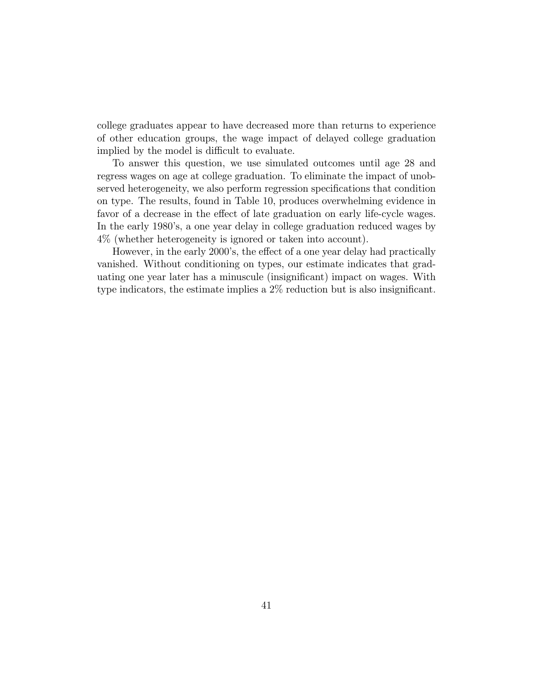college graduates appear to have decreased more than returns to experience of other education groups, the wage impact of delayed college graduation implied by the model is difficult to evaluate.

To answer this question, we use simulated outcomes until age 28 and regress wages on age at college graduation. To eliminate the impact of unobserved heterogeneity, we also perform regression specifications that condition on type. The results, found in Table 10, produces overwhelming evidence in favor of a decrease in the effect of late graduation on early life-cycle wages. In the early 1980's, a one year delay in college graduation reduced wages by 4% (whether heterogeneity is ignored or taken into account).

However, in the early 2000's, the effect of a one year delay had practically vanished. Without conditioning on types, our estimate indicates that graduating one year later has a minuscule (insignicant) impact on wages. With type indicators, the estimate implies a  $2\%$  reduction but is also insignificant.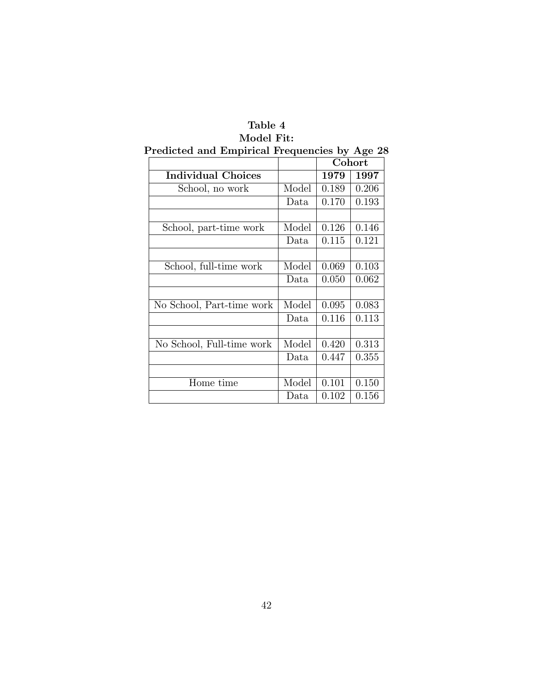# Table 4 Model Fit:

|                           |       | Cohort |       |
|---------------------------|-------|--------|-------|
| <b>Individual Choices</b> |       | 1979   | 1997  |
| School, no work           | Model | 0.189  | 0.206 |
|                           | Data  | 0.170  | 0.193 |
|                           |       |        |       |
| School, part-time work    | Model | 0.126  | 0.146 |
|                           | Data  | 0.115  | 0.121 |
|                           |       |        |       |
| School, full-time work    | Model | 0.069  | 0.103 |
|                           | Data  | 0.050  | 0.062 |
|                           |       |        |       |
| No School, Part-time work | Model | 0.095  | 0.083 |
|                           | Data  | 0.116  | 0.113 |
|                           |       |        |       |
| No School, Full-time work | Model | 0.420  | 0.313 |
|                           | Data  | 0.447  | 0.355 |
|                           |       |        |       |
| Home time                 | Model | 0.101  | 0.150 |
|                           | Data  | 0.102  | 0.156 |

# Predicted and Empirical Frequencies by Age 28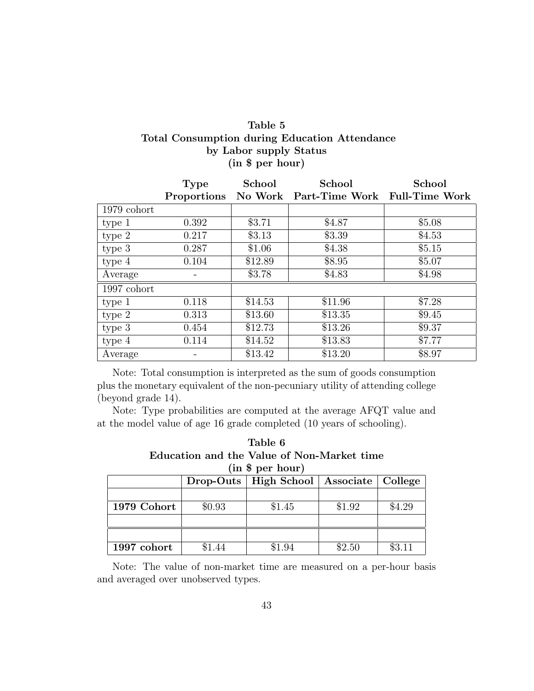## Table 5 Total Consumption during Education Attendance by Labor supply Status (in \$ per hour)

|                   | <b>Type</b> | School  | School                                            | School |
|-------------------|-------------|---------|---------------------------------------------------|--------|
|                   |             |         | Proportions No Work Part-Time Work Full-Time Work |        |
| $1979$ cohort     |             |         |                                                   |        |
| type 1            | 0.392       | \$3.71  | \$4.87                                            | \$5.08 |
| type 2            | 0.217       | \$3.13  | \$3.39                                            | \$4.53 |
| type <sub>3</sub> | 0.287       | \$1.06  | \$4.38                                            | \$5.15 |
| type 4            | 0.104       | \$12.89 | \$8.95                                            | \$5.07 |
| Average           |             | \$3.78  | \$4.83                                            | \$4.98 |
| $1997$ cohort     |             |         |                                                   |        |
| type 1            | 0.118       | \$14.53 | \$11.96                                           | \$7.28 |
| type 2            | 0.313       | \$13.60 | \$13.35                                           | \$9.45 |
| type 3            | 0.454       | \$12.73 | \$13.26                                           | \$9.37 |
| type 4            | 0.114       | \$14.52 | \$13.83                                           | \$7.77 |
| Average           |             | \$13.42 | \$13.20                                           | \$8.97 |

Note: Total consumption is interpreted as the sum of goods consumption plus the monetary equivalent of the non-pecuniary utility of attending college (beyond grade 14).

Note: Type probabilities are computed at the average AFQT value and at the model value of age 16 grade completed (10 years of schooling).

| Table 6                                    |
|--------------------------------------------|
| Education and the Value of Non-Market time |
| $(in$ \$ per hour)                         |

| $\mathbf{m} \times \mathbf{p}$ and $\mathbf{m}$ |        |                                               |        |        |  |
|-------------------------------------------------|--------|-----------------------------------------------|--------|--------|--|
|                                                 |        | Drop-Outs   High School   Associate   College |        |        |  |
|                                                 |        |                                               |        |        |  |
| 1979 Cohort                                     | \$0.93 | \$1.45                                        | \$1.92 | \$4.29 |  |
|                                                 |        |                                               |        |        |  |
|                                                 |        |                                               |        |        |  |
| 1997 cohort                                     | \$1.44 | \$1.94                                        | \$2.50 | \$3.11 |  |

Note: The value of non-market time are measured on a per-hour basis and averaged over unobserved types.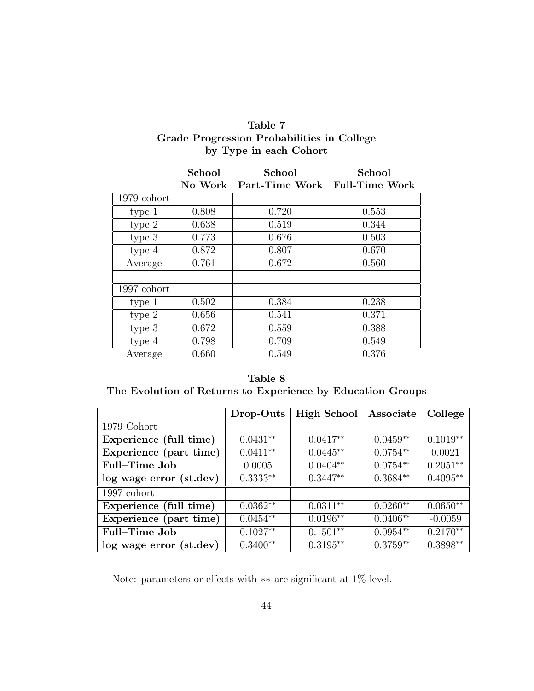| Table 7                                    |
|--------------------------------------------|
| Grade Progression Probabilities in College |
| by Type in each Cohort                     |

|               | School  | School                        | School |
|---------------|---------|-------------------------------|--------|
|               | No Work | Part-Time Work Full-Time Work |        |
| 1979 cohort   |         |                               |        |
| type 1        | 0.808   | 0.720                         | 0.553  |
| type 2        | 0.638   | 0.519                         | 0.344  |
| type 3        | 0.773   | 0.676                         | 0.503  |
| type 4        | 0.872   | 0.807                         | 0.670  |
| Average       | 0.761   | 0.672                         | 0.560  |
|               |         |                               |        |
| $1997$ cohort |         |                               |        |
| type 1        | 0.502   | 0.384                         | 0.238  |
| type 2        | 0.656   | 0.541                         | 0.371  |
| type 3        | 0.672   | 0.559                         | 0.388  |
| type 4        | 0.798   | 0.709                         | 0.549  |
| Average       | 0.660   | 0.549                         | 0.376  |

Table 8 The Evolution of Returns to Experience by Education Groups

|                         | Drop-Outs  | High School | Associate  | College    |
|-------------------------|------------|-------------|------------|------------|
| 1979 Cohort             |            |             |            |            |
| Experience (full time)  | $0.0431**$ | $0.0417**$  | $0.0459**$ | $0.1019**$ |
| Experience (part time)  | $0.0411**$ | $0.0445**$  | $0.0754**$ | 0.0021     |
| Full-Time Job           | 0.0005     | $0.0404**$  | $0.0754**$ | $0.2051**$ |
| log wage error (st.dev) | $0.3333**$ | $0.3447**$  | $0.3684**$ | $0.4095**$ |
| $1997$ cohort           |            |             |            |            |
| Experience (full time)  | $0.0362**$ | $0.0311**$  | $0.0260**$ | $0.0650**$ |
| Experience (part time)  | $0.0454**$ | $0.0196**$  | $0.0406**$ | $-0.0059$  |
| Full-Time Job           | $0.1027**$ | $0.1501**$  | $0.0954**$ | $0.2170**$ |
| log wage error (st.dev) | $0.3400**$ | $0.3195**$  | $0.3759**$ | $0.3898**$ |

Note: parameters or effects with  $**$  are significant at  $1\%$  level.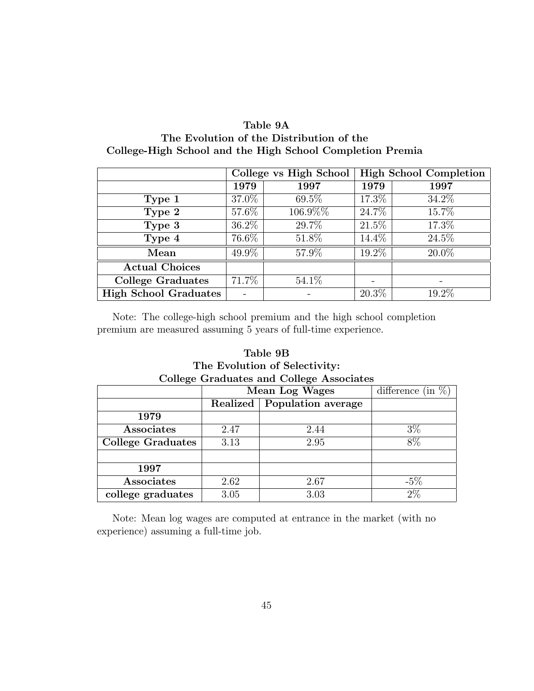| Table 9A                                                  |
|-----------------------------------------------------------|
| The Evolution of the Distribution of the                  |
| College-High School and the High School Completion Premia |

|                              | College vs High School |          | <b>High School Completion</b> |                     |
|------------------------------|------------------------|----------|-------------------------------|---------------------|
|                              | 1979                   | 1997     | 1979                          | 1997                |
| Type 1                       | 37.0%                  | 69.5%    | 17.3%                         | 34.2%               |
| Type 2                       | 57.6%                  | 106.9%%  | 24.7\%                        | 15.7%               |
| Type 3                       | $36.2\%$               | 29.7%    | $21.5\%$                      | 17.3%               |
| Type 4                       | 76.6%                  | $51.8\%$ | 14.4%                         | $\overline{24.5\%}$ |
| Mean                         | 49.9%                  | 57.9%    | 19.2%                         | 20.0%               |
| <b>Actual Choices</b>        |                        |          |                               |                     |
| <b>College Graduates</b>     | 71.7%                  | 54.1\%   |                               |                     |
| <b>High School Graduates</b> |                        |          | $20.3\%$                      | 19.2%               |

Note: The college-high school premium and the high school completion premium are measured assuming 5 years of full-time experience.

## Table 9B The Evolution of Selectivity: College Graduates and College Associates

| $\cdot$                  | difference (in |                       |        |  |
|--------------------------|----------------|-----------------------|--------|--|
|                          |                | <b>Mean Log Wages</b> |        |  |
|                          | Realized       | Population average    |        |  |
| 1979                     |                |                       |        |  |
| Associates               | 2.47           | 2.44                  | $3\%$  |  |
| <b>College Graduates</b> | 3.13           | 2.95                  | 8%     |  |
|                          |                |                       |        |  |
| 1997                     |                |                       |        |  |
| Associates               | 2.62           | 2.67                  | $-5\%$ |  |
| college graduates        | 3.05           | 3.03                  | $2\%$  |  |

Note: Mean log wages are computed at entrance in the market (with no experience) assuming a full-time job.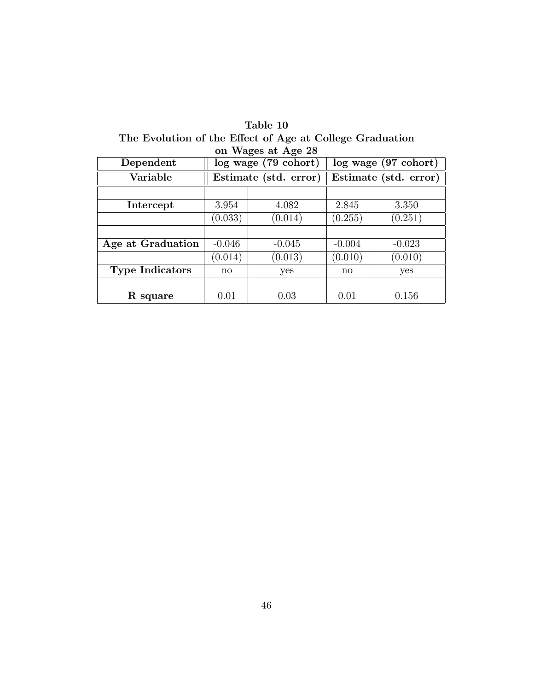| on Wages at Age 28     |                       |          |                                  |          |  |  |
|------------------------|-----------------------|----------|----------------------------------|----------|--|--|
| Dependent              | log wage (79 cohort)  |          | $log$ wage $(97 \text{ cohort})$ |          |  |  |
| Variable               | Estimate (std. error) |          | Estimate (std. error)            |          |  |  |
|                        |                       |          |                                  |          |  |  |
| Intercept              | 3.954                 | 4.082    | 2.845                            | 3.350    |  |  |
|                        | (0.033)               | (0.014)  | (0.255)                          | (0.251)  |  |  |
|                        |                       |          |                                  |          |  |  |
| Age at Graduation      | $-0.046$              | $-0.045$ | $-0.004$                         | $-0.023$ |  |  |
|                        | (0.014)               | (0.013)  | (0.010)                          | (0.010)  |  |  |
| <b>Type Indicators</b> | no                    | yes      | no                               | yes      |  |  |
|                        |                       |          |                                  |          |  |  |
| R square               | 0.01                  | 0.03     | 0.01                             | 0.156    |  |  |

Table 10 The Evolution of the Effect of Age at College Graduation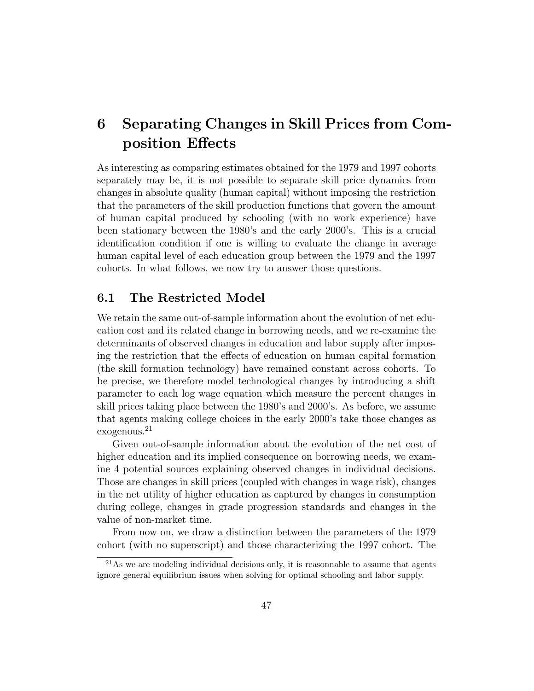# 6 Separating Changes in Skill Prices from Composition Effects

As interesting as comparing estimates obtained for the 1979 and 1997 cohorts separately may be, it is not possible to separate skill price dynamics from changes in absolute quality (human capital) without imposing the restriction that the parameters of the skill production functions that govern the amount of human capital produced by schooling (with no work experience) have been stationary between the 1980's and the early 2000's. This is a crucial identication condition if one is willing to evaluate the change in average human capital level of each education group between the 1979 and the 1997 cohorts. In what follows, we now try to answer those questions.

#### 6.1 The Restricted Model

We retain the same out-of-sample information about the evolution of net education cost and its related change in borrowing needs, and we re-examine the determinants of observed changes in education and labor supply after imposing the restriction that the effects of education on human capital formation (the skill formation technology) have remained constant across cohorts. To be precise, we therefore model technological changes by introducing a shift parameter to each log wage equation which measure the percent changes in skill prices taking place between the 1980's and 2000's. As before, we assume that agents making college choices in the early 2000's take those changes as exogenous.<sup>21</sup>

Given out-of-sample information about the evolution of the net cost of higher education and its implied consequence on borrowing needs, we examine 4 potential sources explaining observed changes in individual decisions. Those are changes in skill prices (coupled with changes in wage risk), changes in the net utility of higher education as captured by changes in consumption during college, changes in grade progression standards and changes in the value of non-market time.

From now on, we draw a distinction between the parameters of the 1979 cohort (with no superscript) and those characterizing the 1997 cohort. The

 $^{21}$ As we are modeling individual decisions only, it is reasonnable to assume that agents ignore general equilibrium issues when solving for optimal schooling and labor supply.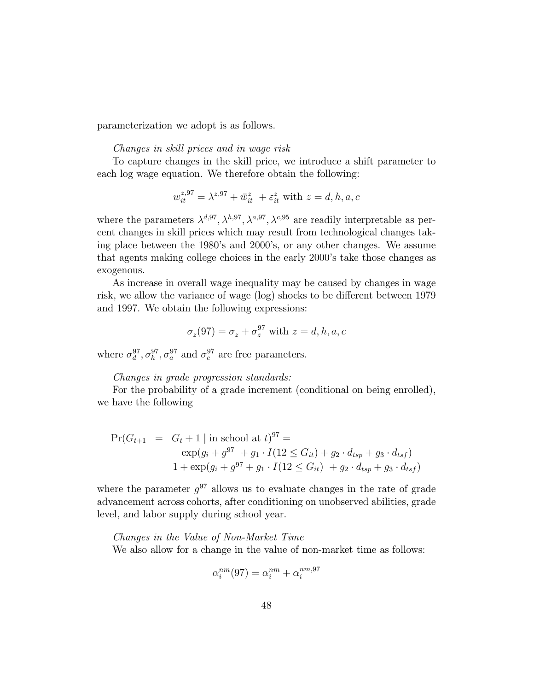parameterization we adopt is as follows.

#### Changes in skill prices and in wage risk

To capture changes in the skill price, we introduce a shift parameter to each log wage equation. We therefore obtain the following:

$$
w_{it}^{z,97} = \lambda^{z,97} + \bar{w}_{it}^{z} + \varepsilon_{it}^{z}
$$
 with  $z = d, h, a, c$ 

where the parameters  $\lambda^{d,97}, \lambda^{h,97}, \lambda^{a,97}, \lambda^{c,95}$  are readily interpretable as percent changes in skill prices which may result from technological changes taking place between the 1980's and 2000's, or any other changes. We assume that agents making college choices in the early 2000's take those changes as exogenous.

As increase in overall wage inequality may be caused by changes in wage risk, we allow the variance of wage (log) shocks to be different between 1979 and 1997. We obtain the following expressions:

$$
\sigma_z(97) = \sigma_z + \sigma_z^{97}
$$
 with  $z = d, h, a, c$ 

where  $\sigma_d^{97}, \sigma_h^{97}, \sigma_a^{97}$  and  $\sigma_c^{97}$  are free parameters.

#### Changes in grade progression standards:

For the probability of a grade increment (conditional on being enrolled), we have the following

$$
\Pr(G_{t+1} = G_t + 1 \mid \text{in school at } t)^{97} =
$$
  
\n
$$
\frac{\exp(g_i + g^{97} + g_1 \cdot I(12 \le G_{it}) + g_2 \cdot d_{tsp} + g_3 \cdot d_{tsf})}{1 + \exp(g_i + g^{97} + g_1 \cdot I(12 \le G_{it}) + g_2 \cdot d_{tsp} + g_3 \cdot d_{tsf})}
$$

where the parameter  $g^{97}$  allows us to evaluate changes in the rate of grade advancement across cohorts, after conditioning on unobserved abilities, grade level, and labor supply during school year.

Changes in the Value of Non-Market Time We also allow for a change in the value of non-market time as follows:

$$
\alpha_i^{nm}(97) = \alpha_i^{nm} + \alpha_i^{nm,97}
$$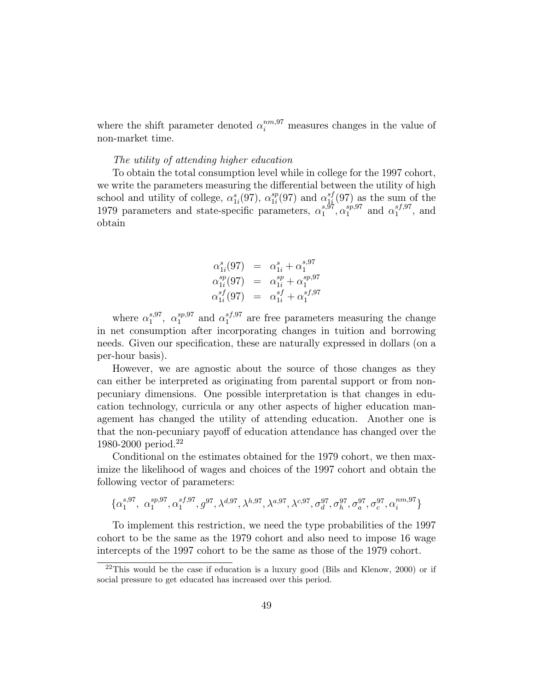where the shift parameter denoted  $\alpha_i^{nm,97}$  measures changes in the value of non-market time.

#### The utility of attending higher education

To obtain the total consumption level while in college for the 1997 cohort, we write the parameters measuring the differential between the utility of high school and utility of college,  $\alpha_{1i}^s(97)$ ,  $\alpha_{1i}^{sp}$  $\frac{sp}{1i}(97)$  and  $\alpha_{1i}^{sf}$  $\frac{s}{1}$ (97) as the sum of the 1979 parameters and state-specific parameters,  $\alpha_1^{s,\overline{97}}$  $_1^{s,\bar{9}7},\alpha_1^{sp,97}$  $i_1^{sp,97}$  and  $\alpha_1^{sf,97}$  $i_1^{s_J,s_I}$ , and obtain

$$
\alpha_{1i}^{s}(97) = \alpha_{1i}^{s} + \alpha_{1}^{s,97}
$$
  
\n
$$
\alpha_{1i}^{sp}(97) = \alpha_{1i}^{sp} + \alpha_{1}^{sp,97}
$$
  
\n
$$
\alpha_{1i}^{sf}(97) = \alpha_{1i}^{sf} + \alpha_{1}^{sf,97}
$$

where  $\alpha_1^{s,97}$  $i^{s,97}_{1}, \alpha^{sp,97}_{1}$  $_1^{sp,97}$  and  $\alpha_1^{sf,97}$  $i_1^{s_j,s_i}$  are free parameters measuring the change in net consumption after incorporating changes in tuition and borrowing needs. Given our specication, these are naturally expressed in dollars (on a per-hour basis).

However, we are agnostic about the source of those changes as they can either be interpreted as originating from parental support or from nonpecuniary dimensions. One possible interpretation is that changes in education technology, curricula or any other aspects of higher education management has changed the utility of attending education. Another one is that the non-pecuniary payoff of education attendance has changed over the 1980-2000 period.<sup>22</sup>

Conditional on the estimates obtained for the 1979 cohort, we then maximize the likelihood of wages and choices of the 1997 cohort and obtain the following vector of parameters:

$$
\{\alpha_1^{s,97},\ \alpha_1^{sp,97},\alpha_1^{sf,97},g^{97},\lambda^{d,97},\lambda^{h,97},\lambda^{a,97},\lambda^{c,97},\sigma_d^{97},\sigma_h^{97},\sigma_a^{97},\sigma_c^{97},\alpha_i^{nm,97}\}
$$

To implement this restriction, we need the type probabilities of the 1997 cohort to be the same as the 1979 cohort and also need to impose 16 wage intercepts of the 1997 cohort to be the same as those of the 1979 cohort.

 $22$ This would be the case if education is a luxury good (Bils and Klenow, 2000) or if social pressure to get educated has increased over this period.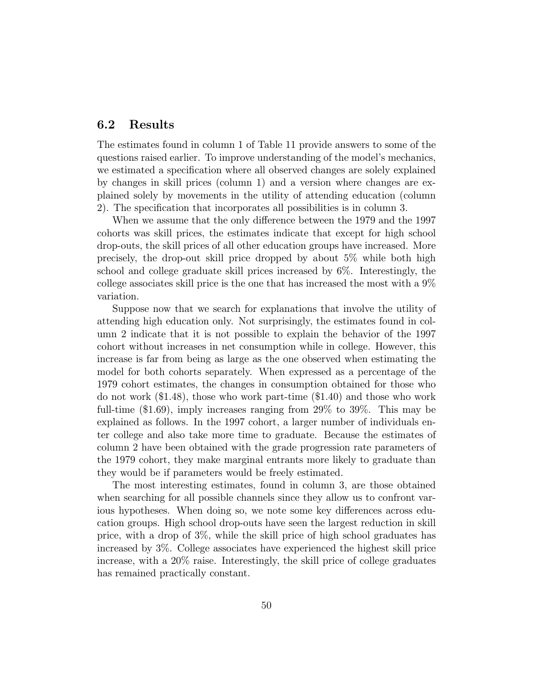#### 6.2 Results

The estimates found in column 1 of Table 11 provide answers to some of the questions raised earlier. To improve understanding of the model's mechanics, we estimated a specication where all observed changes are solely explained by changes in skill prices (column 1) and a version where changes are explained solely by movements in the utility of attending education (column 2). The specication that incorporates all possibilities is in column 3.

When we assume that the only difference between the 1979 and the 1997 cohorts was skill prices, the estimates indicate that except for high school drop-outs, the skill prices of all other education groups have increased. More precisely, the drop-out skill price dropped by about 5% while both high school and college graduate skill prices increased by 6%. Interestingly, the college associates skill price is the one that has increased the most with a 9% variation.

Suppose now that we search for explanations that involve the utility of attending high education only. Not surprisingly, the estimates found in column 2 indicate that it is not possible to explain the behavior of the 1997 cohort without increases in net consumption while in college. However, this increase is far from being as large as the one observed when estimating the model for both cohorts separately. When expressed as a percentage of the 1979 cohort estimates, the changes in consumption obtained for those who do not work (\$1.48), those who work part-time (\$1.40) and those who work full-time (\$1.69), imply increases ranging from 29% to 39%. This may be explained as follows. In the 1997 cohort, a larger number of individuals enter college and also take more time to graduate. Because the estimates of column 2 have been obtained with the grade progression rate parameters of the 1979 cohort, they make marginal entrants more likely to graduate than they would be if parameters would be freely estimated.

The most interesting estimates, found in column 3, are those obtained when searching for all possible channels since they allow us to confront various hypotheses. When doing so, we note some key differences across education groups. High school drop-outs have seen the largest reduction in skill price, with a drop of 3%, while the skill price of high school graduates has increased by 3%. College associates have experienced the highest skill price increase, with a 20% raise. Interestingly, the skill price of college graduates has remained practically constant.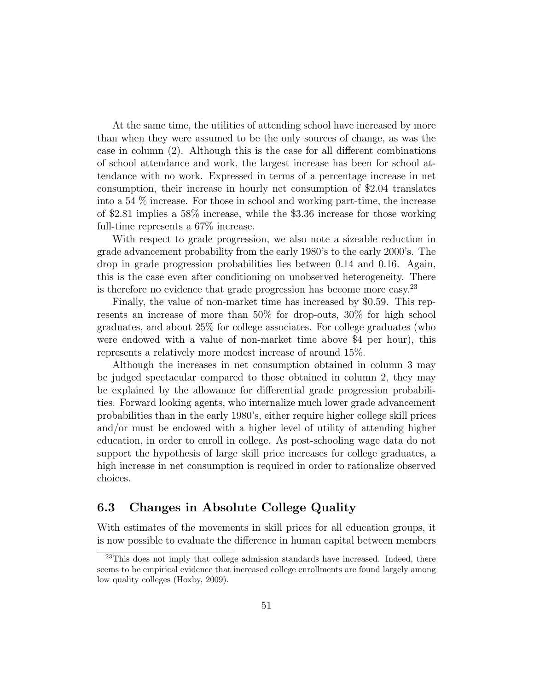At the same time, the utilities of attending school have increased by more than when they were assumed to be the only sources of change, as was the case in column  $(2)$ . Although this is the case for all different combinations of school attendance and work, the largest increase has been for school attendance with no work. Expressed in terms of a percentage increase in net consumption, their increase in hourly net consumption of \$2.04 translates into a 54 % increase. For those in school and working part-time, the increase of \$2.81 implies a 58% increase, while the \$3.36 increase for those working full-time represents a 67% increase.

With respect to grade progression, we also note a sizeable reduction in grade advancement probability from the early 1980's to the early 2000's. The drop in grade progression probabilities lies between 0.14 and 0.16. Again, this is the case even after conditioning on unobserved heterogeneity. There is therefore no evidence that grade progression has become more easy.<sup>23</sup>

Finally, the value of non-market time has increased by \$0.59. This represents an increase of more than 50% for drop-outs, 30% for high school graduates, and about 25% for college associates. For college graduates (who were endowed with a value of non-market time above \$4 per hour), this represents a relatively more modest increase of around 15%.

Although the increases in net consumption obtained in column 3 may be judged spectacular compared to those obtained in column 2, they may be explained by the allowance for differential grade progression probabilities. Forward looking agents, who internalize much lower grade advancement probabilities than in the early 1980's, either require higher college skill prices and/or must be endowed with a higher level of utility of attending higher education, in order to enroll in college. As post-schooling wage data do not support the hypothesis of large skill price increases for college graduates, a high increase in net consumption is required in order to rationalize observed choices.

## 6.3 Changes in Absolute College Quality

With estimates of the movements in skill prices for all education groups, it is now possible to evaluate the difference in human capital between members

<sup>&</sup>lt;sup>23</sup>This does not imply that college admission standards have increased. Indeed, there seems to be empirical evidence that increased college enrollments are found largely among low quality colleges (Hoxby, 2009).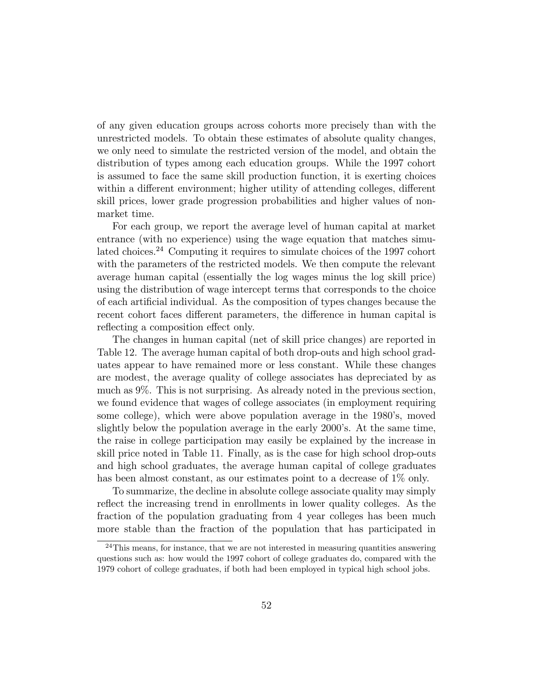of any given education groups across cohorts more precisely than with the unrestricted models. To obtain these estimates of absolute quality changes, we only need to simulate the restricted version of the model, and obtain the distribution of types among each education groups. While the 1997 cohort is assumed to face the same skill production function, it is exerting choices within a different environment; higher utility of attending colleges, different skill prices, lower grade progression probabilities and higher values of nonmarket time.

For each group, we report the average level of human capital at market entrance (with no experience) using the wage equation that matches simulated choices.<sup>24</sup> Computing it requires to simulate choices of the 1997 cohort with the parameters of the restricted models. We then compute the relevant average human capital (essentially the log wages minus the log skill price) using the distribution of wage intercept terms that corresponds to the choice of each articial individual. As the composition of types changes because the recent cohort faces different parameters, the difference in human capital is reflecting a composition effect only.

The changes in human capital (net of skill price changes) are reported in Table 12. The average human capital of both drop-outs and high school graduates appear to have remained more or less constant. While these changes are modest, the average quality of college associates has depreciated by as much as 9%. This is not surprising. As already noted in the previous section, we found evidence that wages of college associates (in employment requiring some college), which were above population average in the 1980's, moved slightly below the population average in the early 2000's. At the same time, the raise in college participation may easily be explained by the increase in skill price noted in Table 11. Finally, as is the case for high school drop-outs and high school graduates, the average human capital of college graduates has been almost constant, as our estimates point to a decrease of 1\% only.

To summarize, the decline in absolute college associate quality may simply reflect the increasing trend in enrollments in lower quality colleges. As the fraction of the population graduating from 4 year colleges has been much more stable than the fraction of the population that has participated in

 $24$ This means, for instance, that we are not interested in measuring quantities answering questions such as: how would the 1997 cohort of college graduates do, compared with the 1979 cohort of college graduates, if both had been employed in typical high school jobs.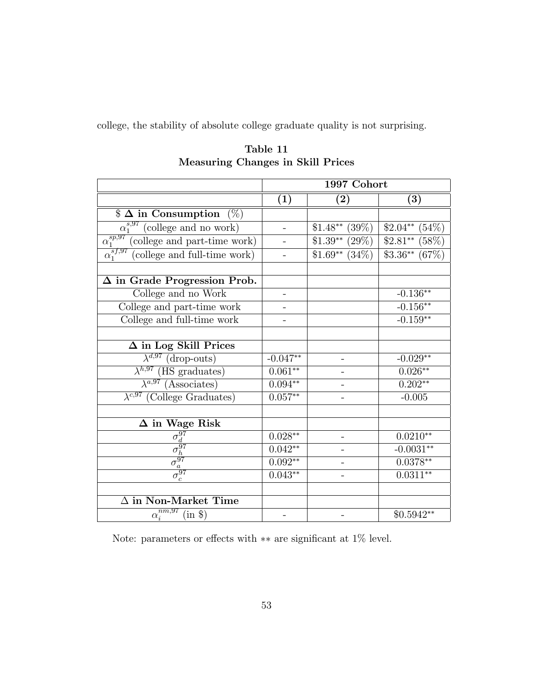college, the stability of absolute college graduate quality is not surprising.

|                                                                                                   | 1997 Cohort                     |                    |                  |  |
|---------------------------------------------------------------------------------------------------|---------------------------------|--------------------|------------------|--|
|                                                                                                   | $\left( 2\right)$<br>(3)<br>(1) |                    |                  |  |
| $\$\Delta$$ in Consumption $(\%)$                                                                 |                                 |                    |                  |  |
| $\alpha_1^{s,97}$ (college and no work)                                                           |                                 | $$1.48**$ (39%)$   | $$2.04**$ (54%)$ |  |
| $\alpha_1^{sp,97}$ (college and part-time work)                                                   |                                 | $$1.39**$$ (29%)   | $$2.81**$ (58%)  |  |
| $\alpha_1^{s f, 97}$ (college and full-time work)                                                 |                                 | $$1.69**$ $(34\%)$ | $$3.36**$ (67%)  |  |
| $\Delta$ in Grade Progression Prob.                                                               |                                 |                    |                  |  |
| College and no Work                                                                               |                                 |                    | $-0.136**$       |  |
| College and part-time work                                                                        |                                 |                    | $-0.156**$       |  |
| College and full-time work                                                                        |                                 |                    | $-0.159**$       |  |
|                                                                                                   |                                 |                    |                  |  |
| $\Delta$ in Log Skill Prices                                                                      |                                 |                    |                  |  |
| $\lambda^{d,97}$ (drop-outs)                                                                      | $-0.047**$                      |                    | $-0.029**$       |  |
| $\lambda^{h,97}$ (HS graduates)                                                                   | $0.061**$                       |                    | $0.026**$        |  |
| $\overline{\lambda^{a,97}$ (Associates)                                                           | $0.094**$                       |                    | $0.202**$        |  |
| $\lambda^{c,97}$ (College Graduates)                                                              | $0.057***$                      |                    | $-0.005$         |  |
|                                                                                                   |                                 |                    |                  |  |
| $\Delta$ in Wage Risk                                                                             |                                 |                    |                  |  |
|                                                                                                   | $0.028**$                       |                    | $0.0210**$       |  |
|                                                                                                   | $0.042**$                       |                    | $-0.0031**$      |  |
|                                                                                                   | $0.092**$                       |                    | $0.0378**$       |  |
| $\frac{\overline{\sigma_d^{97}}}{\sigma_h^{97}}$ $\frac{\overline{\sigma_a^{97}}}{\sigma_c^{97}}$ | $0.043**$                       |                    | $0.0311**$       |  |
|                                                                                                   |                                 |                    |                  |  |
| $\Delta$ in Non-Market Time                                                                       |                                 |                    |                  |  |
| $\alpha_i^{nm,97}$<br>$(in \$                                                                     |                                 |                    | $$0.5942**$      |  |

Table 11 Measuring Changes in Skill Prices

Note: parameters or effects with  $**$  are significant at  $1\%$  level.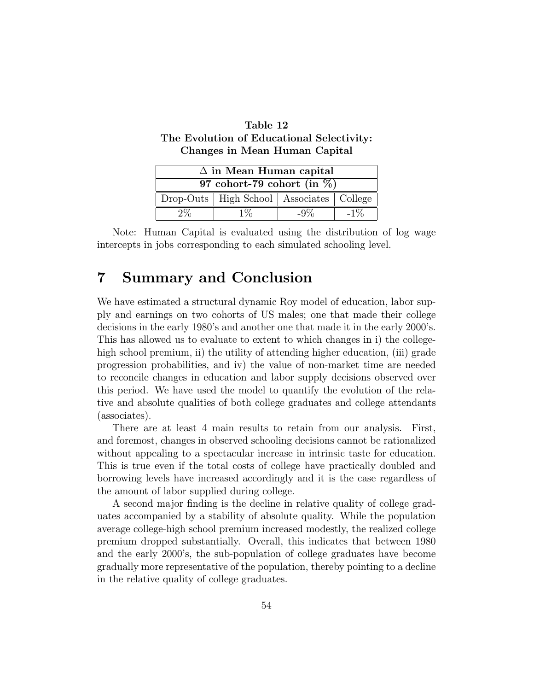| Table 12                                  |
|-------------------------------------------|
| The Evolution of Educational Selectivity: |
| Changes in Mean Human Capital             |

| $\Delta$ in Mean Human capital                 |  |  |  |  |  |
|------------------------------------------------|--|--|--|--|--|
| 97 cohort-79 cohort (in $\%$ )                 |  |  |  |  |  |
| Drop-Outs   High School   Associates   College |  |  |  |  |  |
|                                                |  |  |  |  |  |

Note: Human Capital is evaluated using the distribution of log wage intercepts in jobs corresponding to each simulated schooling level.

# 7 Summary and Conclusion

We have estimated a structural dynamic Roy model of education, labor supply and earnings on two cohorts of US males; one that made their college decisions in the early 1980's and another one that made it in the early 2000's. This has allowed us to evaluate to extent to which changes in i) the collegehigh school premium, ii) the utility of attending higher education, (iii) grade progression probabilities, and iv) the value of non-market time are needed to reconcile changes in education and labor supply decisions observed over this period. We have used the model to quantify the evolution of the relative and absolute qualities of both college graduates and college attendants (associates).

There are at least 4 main results to retain from our analysis. First, and foremost, changes in observed schooling decisions cannot be rationalized without appealing to a spectacular increase in intrinsic taste for education. This is true even if the total costs of college have practically doubled and borrowing levels have increased accordingly and it is the case regardless of the amount of labor supplied during college.

A second major finding is the decline in relative quality of college graduates accompanied by a stability of absolute quality. While the population average college-high school premium increased modestly, the realized college premium dropped substantially. Overall, this indicates that between 1980 and the early 2000's, the sub-population of college graduates have become gradually more representative of the population, thereby pointing to a decline in the relative quality of college graduates.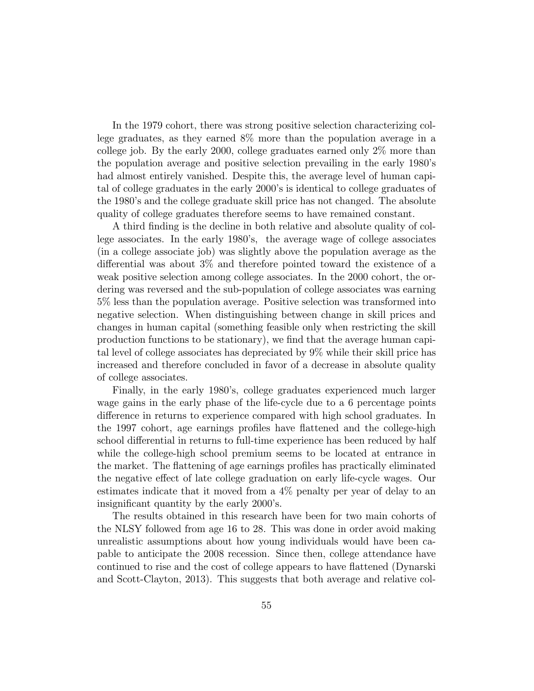In the 1979 cohort, there was strong positive selection characterizing college graduates, as they earned 8% more than the population average in a college job. By the early 2000, college graduates earned only 2% more than the population average and positive selection prevailing in the early 1980's had almost entirely vanished. Despite this, the average level of human capital of college graduates in the early 2000's is identical to college graduates of the 1980's and the college graduate skill price has not changed. The absolute quality of college graduates therefore seems to have remained constant.

A third finding is the decline in both relative and absolute quality of college associates. In the early 1980's, the average wage of college associates (in a college associate job) was slightly above the population average as the differential was about  $3\%$  and therefore pointed toward the existence of a weak positive selection among college associates. In the 2000 cohort, the ordering was reversed and the sub-population of college associates was earning 5% less than the population average. Positive selection was transformed into negative selection. When distinguishing between change in skill prices and changes in human capital (something feasible only when restricting the skill production functions to be stationary), we find that the average human capital level of college associates has depreciated by 9% while their skill price has increased and therefore concluded in favor of a decrease in absolute quality of college associates.

Finally, in the early 1980's, college graduates experienced much larger wage gains in the early phase of the life-cycle due to a 6 percentage points difference in returns to experience compared with high school graduates. In the 1997 cohort, age earnings profiles have flattened and the college-high school differential in returns to full-time experience has been reduced by half while the college-high school premium seems to be located at entrance in the market. The flattening of age earnings profiles has practically eliminated the negative effect of late college graduation on early life-cycle wages. Our estimates indicate that it moved from a 4% penalty per year of delay to an insignicant quantity by the early 2000's.

The results obtained in this research have been for two main cohorts of the NLSY followed from age 16 to 28. This was done in order avoid making unrealistic assumptions about how young individuals would have been capable to anticipate the 2008 recession. Since then, college attendance have continued to rise and the cost of college appears to have flattened (Dynarski and Scott-Clayton, 2013). This suggests that both average and relative col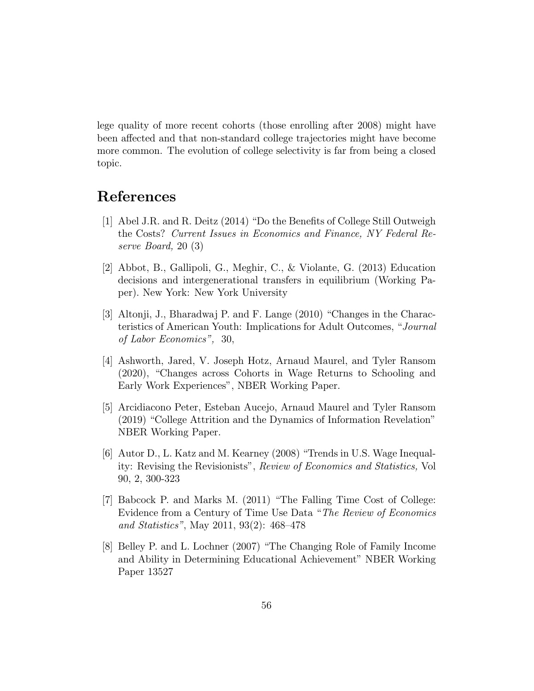lege quality of more recent cohorts (those enrolling after 2008) might have been affected and that non-standard college trajectories might have become more common. The evolution of college selectivity is far from being a closed topic.

# References

- [1] Abel J.R. and R. Deitz  $(2014)$  "Do the Benefits of College Still Outweigh the Costs? Current Issues in Economics and Finance, NY Federal Reserve Board, 20 (3)
- [2] Abbot, B., Gallipoli, G., Meghir, C., & Violante, G. (2013) Education decisions and intergenerational transfers in equilibrium (Working Paper). New York: New York University
- [3] Altonji, J., Bharadwaj P. and F. Lange  $(2010)$  "Changes in the Characteristics of American Youth: Implications for Adult Outcomes, "Journal of Labor Economics", 30,
- [4] Ashworth, Jared, V. Joseph Hotz, Arnaud Maurel, and Tyler Ransom  $(2020)$ , "Changes across Cohorts in Wage Returns to Schooling and Early Work Experiences", NBER Working Paper.
- [5] Arcidiacono Peter, Esteban Aucejo, Arnaud Maurel and Tyler Ransom  $(2019)$  "College Attrition and the Dynamics of Information Revelation" NBER Working Paper.
- [6] Autor D., L. Katz and M. Kearney (2008) \Trends in U.S. Wage Inequality: Revising the Revisionists", Review of Economics and Statistics, Vol 90, 2, 300-323
- [7] Babcock P. and Marks M. (2011) \The Falling Time Cost of College: Evidence from a Century of Time Use Data "The Review of Economics and Statistics", May 2011, 93(2):  $468-478$
- [8] Belley P. and L. Lochner (2007) "The Changing Role of Family Income and Ability in Determining Educational Achievement" NBER Working Paper 13527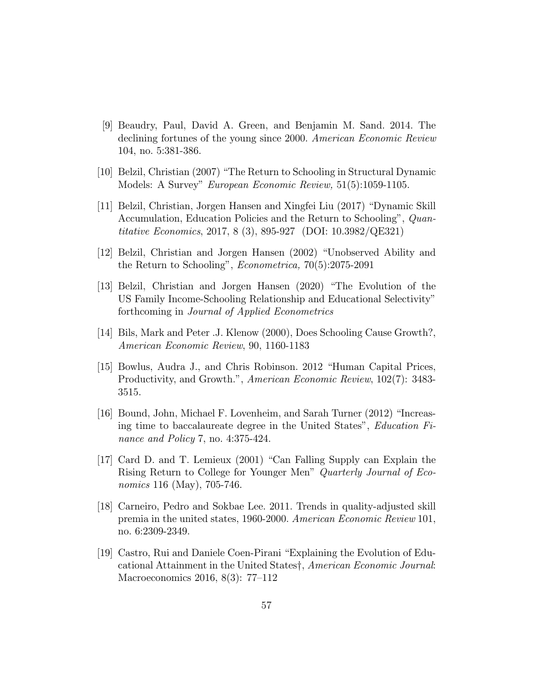- [9] Beaudry, Paul, David A. Green, and Benjamin M. Sand. 2014. The declining fortunes of the young since 2000. American Economic Review 104, no. 5:381-386.
- [10] Belzil, Christian (2007) \The Return to Schooling in Structural Dynamic Models: A Survey" European Economic Review, 51(5):1059-1105.
- [11] Belzil, Christian, Jorgen Hansen and Xingfei Liu (2017) "Dynamic Skill Accumulation, Education Policies and the Return to Schooling", Quantitative Economics, 2017, 8 (3), 895-927 (DOI: 10.3982/QE321)
- [12] Belzil, Christian and Jorgen Hansen (2002) "Unobserved Ability and the Return to Schooling", Econometrica, 70(5):2075-2091
- [13] Belzil, Christian and Jorgen Hansen (2020) \The Evolution of the US Family Income-Schooling Relationship and Educational Selectivity" forthcoming in Journal of Applied Econometrics
- [14] Bils, Mark and Peter .J. Klenow (2000), Does Schooling Cause Growth?, American Economic Review, 90, 1160-1183
- [15] Bowlus, Audra J., and Chris Robinson. 2012 \Human Capital Prices, Productivity, and Growth.", American Economic Review, 102(7): 3483- 3515.
- [16] Bound, John, Michael F. Lovenheim, and Sarah Turner (2012) \Increasing time to baccalaureate degree in the United States", Education Finance and Policy 7, no. 4:375-424.
- [17] Card D. and T. Lemieux (2001) "Can Falling Supply can Explain the Rising Return to College for Younger Men" Quarterly Journal of Economics 116 (May), 705-746.
- [18] Carneiro, Pedro and Sokbae Lee. 2011. Trends in quality-adjusted skill premia in the united states, 1960-2000. American Economic Review 101, no. 6:2309-2349.
- [19] Castro, Rui and Daniele Coen-Pirani \Explaining the Evolution of Educational Attainment in the United States<sup>†</sup>, American Economic Journal: Macroeconomics 2016,  $8(3)$ : 77-112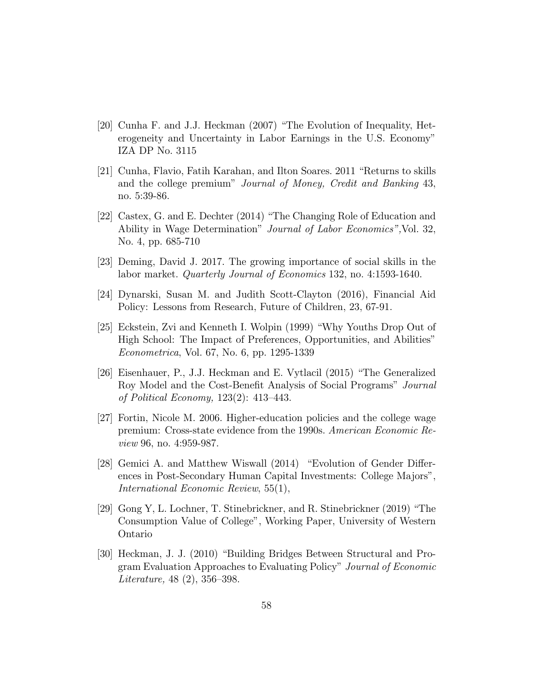- [20] Cunha F. and J.J. Heckman (2007) "The Evolution of Inequality, Heterogeneity and Uncertainty in Labor Earnings in the U.S. Economy" IZA DP No. 3115
- $[21]$  Cunha, Flavio, Fatih Karahan, and Ilton Soares. 2011 "Returns to skills and the college premium" Journal of Money, Credit and Banking 43, no. 5:39-86.
- [22] Castex, G. and E. Dechter (2014) \The Changing Role of Education and Ability in Wage Determination" Journal of Labor Economics",Vol. 32, No. 4, pp. 685-710
- [23] Deming, David J. 2017. The growing importance of social skills in the labor market. Quarterly Journal of Economics 132, no. 4:1593-1640.
- [24] Dynarski, Susan M. and Judith Scott-Clayton (2016), Financial Aid Policy: Lessons from Research, Future of Children, 23, 67-91.
- [25] Eckstein, Zvi and Kenneth I. Wolpin (1999) \Why Youths Drop Out of High School: The Impact of Preferences, Opportunities, and Abilities" Econometrica, Vol. 67, No. 6, pp. 1295-1339
- [26] Eisenhauer, P., J.J. Heckman and E. Vytlacil (2015) \The Generalized Roy Model and the Cost-Benefit Analysis of Social Programs" Journal of Political Economy,  $123(2)$ :  $413-443$ .
- [27] Fortin, Nicole M. 2006. Higher-education policies and the college wage premium: Cross-state evidence from the 1990s. American Economic Review 96, no. 4:959-987.
- [28] Gemici A. and Matthew Wiswall  $(2014)$  "Evolution of Gender Differences in Post-Secondary Human Capital Investments: College Majors", International Economic Review, 55(1),
- [29] Gong Y, L. Lochner, T. Stinebrickner, and R. Stinebrickner (2019) \The Consumption Value of College", Working Paper, University of Western Ontario
- [30] Heckman, J. J. (2010) \Building Bridges Between Structural and Program Evaluation Approaches to Evaluating Policy" Journal of Economic Literature,  $48(2)$ ,  $356-398$ .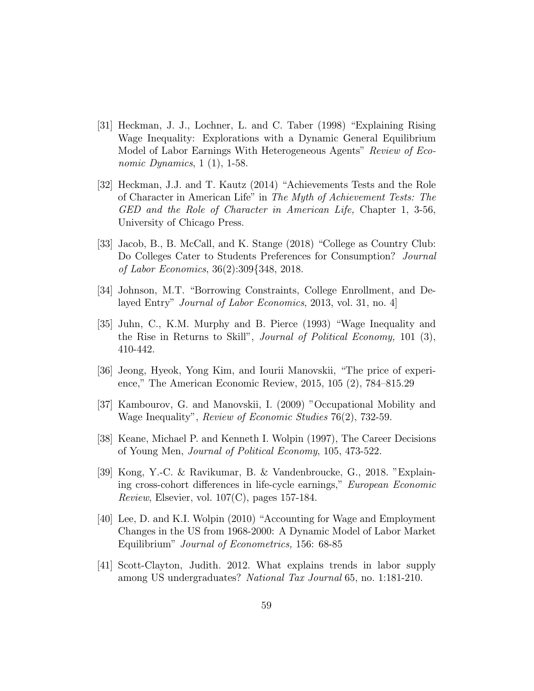- [31] Heckman, J. J., Lochner, L. and C. Taber (1998) \Explaining Rising Wage Inequality: Explorations with a Dynamic General Equilibrium Model of Labor Earnings With Heterogeneous Agents" Review of Economic Dynamics,  $1(1)$ ,  $1-58$ .
- [32] Heckman, J.J. and T. Kautz (2014) "Achievements Tests and the Role of Character in American Life" in The Myth of Achievement Tests: The GED and the Role of Character in American Life, Chapter 1, 3-56, University of Chicago Press.
- [33] Jacob, B., B. McCall, and K. Stange (2018) "College as Country Club: Do Colleges Cater to Students Preferences for Consumption? Journal of Labor Economics, 36(2):309f348, 2018.
- [34] Johnson, M.T. "Borrowing Constraints, College Enrollment, and Delayed Entry" Journal of Labor Economics, 2013, vol. 31, no. 4]
- [35] Juhn, C., K.M. Murphy and B. Pierce (1993) \Wage Inequality and the Rise in Returns to Skill", Journal of Political Economy, 101 (3), 410-442.
- [36] Jeong, Hyeok, Yong Kim, and Iourii Manovskii, \The price of experience," The American Economic Review,  $2015, 105$   $(2)$ ,  $784-815.29$
- [37] Kambourov, G. and Manovskii, I. (2009) "Occupational Mobility and Wage Inequality", Review of Economic Studies 76(2), 732-59.
- [38] Keane, Michael P. and Kenneth I. Wolpin (1997), The Career Decisions of Young Men, Journal of Political Economy, 105, 473-522.
- [39] Kong, Y.-C. & Ravikumar, B. & Vandenbroucke, G., 2018. "Explaining cross-cohort differences in life-cycle earnings," European Economic *Review*, Elsevier, vol.  $107(C)$ , pages 157-184.
- [40] Lee, D. and K.I. Wolpin (2010) "Accounting for Wage and Employment Changes in the US from 1968-2000: A Dynamic Model of Labor Market Equilibrium" Journal of Econometrics, 156: 68-85
- [41] Scott-Clayton, Judith. 2012. What explains trends in labor supply among US undergraduates? National Tax Journal 65, no. 1:181-210.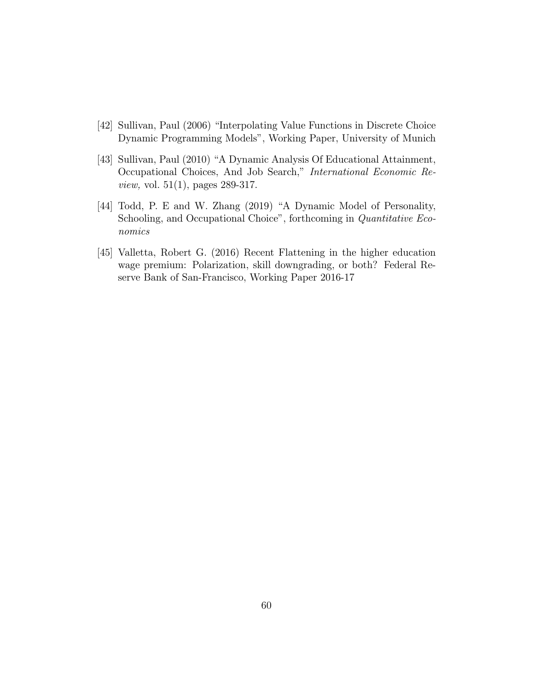- [42] Sullivan, Paul (2006) "Interpolating Value Functions in Discrete Choice Dynamic Programming Models", Working Paper, University of Munich
- [43] Sullivan, Paul (2010) "A Dynamic Analysis Of Educational Attainment, Occupational Choices, And Job Search," International Economic Review, vol. 51(1), pages 289-317.
- [44] Todd, P. E and W. Zhang (2019) "A Dynamic Model of Personality, Schooling, and Occupational Choice", forthcoming in Quantitative Economics
- [45] Valletta, Robert G. (2016) Recent Flattening in the higher education wage premium: Polarization, skill downgrading, or both? Federal Reserve Bank of San-Francisco, Working Paper 2016-17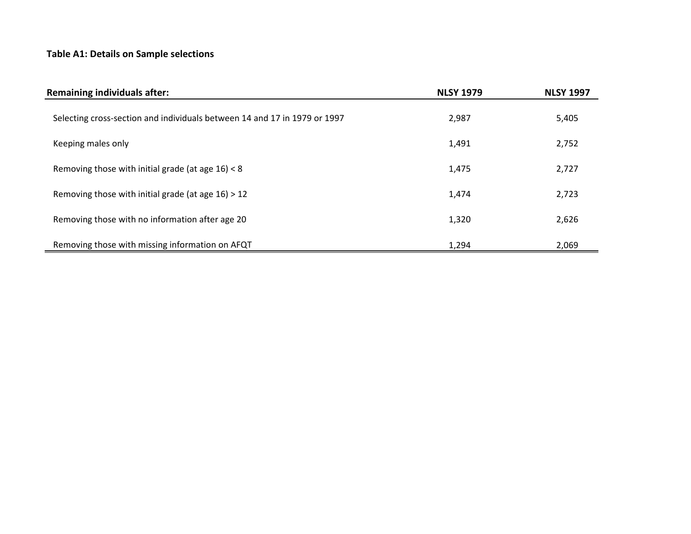## **Table A1: Details on Sample selections**

| <b>Remaining individuals after:</b>                                       | <b>NLSY 1979</b> | <b>NLSY 1997</b> |
|---------------------------------------------------------------------------|------------------|------------------|
| Selecting cross-section and individuals between 14 and 17 in 1979 or 1997 | 2,987            | 5,405            |
| Keeping males only                                                        | 1,491            | 2,752            |
| Removing those with initial grade (at age $16$ ) < 8                      | 1,475            | 2,727            |
| Removing those with initial grade (at age $16$ ) > 12                     | 1,474            | 2,723            |
| Removing those with no information after age 20                           | 1,320            | 2,626            |
| Removing those with missing information on AFQT                           | 1,294            | 2,069            |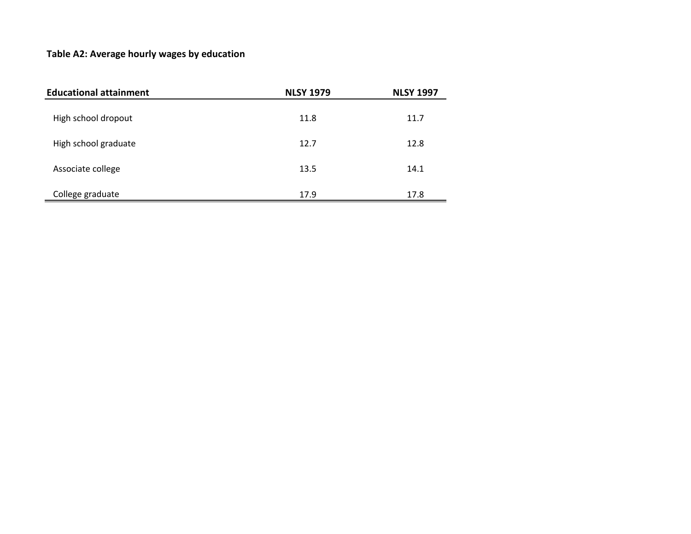## **Table A2: Average hourly wages by education**

| <b>Educational attainment</b> | <b>NLSY 1979</b> | <b>NLSY 1997</b> |  |  |
|-------------------------------|------------------|------------------|--|--|
| High school dropout           | 11.8             | 11.7             |  |  |
| High school graduate          | 12.7             | 12.8             |  |  |
| Associate college             | 13.5             | 14.1             |  |  |
| College graduate              | 17.9             | 17.8             |  |  |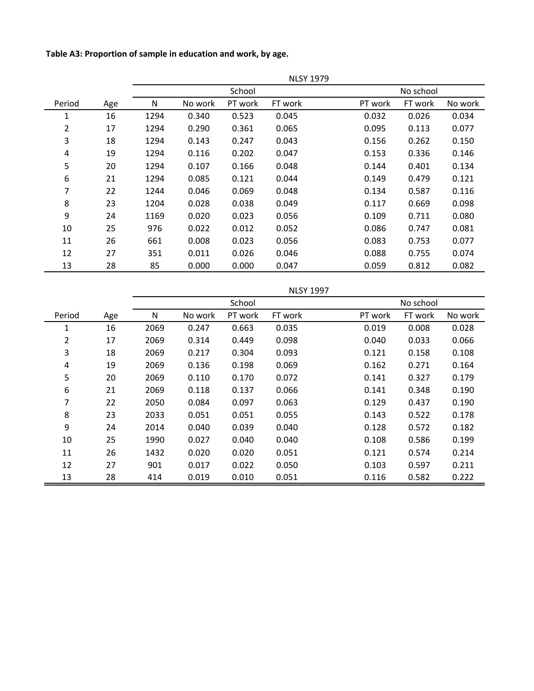**Table A3: Proportion of sample in education and work, by age.** 

|        |     | <b>NLSY 1979</b> |         |         |         |         |           |         |  |
|--------|-----|------------------|---------|---------|---------|---------|-----------|---------|--|
|        |     | School           |         |         |         |         | No school |         |  |
| Period | Age | N                | No work | PT work | FT work | PT work | FT work   | No work |  |
| 1      | 16  | 1294             | 0.340   | 0.523   | 0.045   | 0.032   | 0.026     | 0.034   |  |
| 2      | 17  | 1294             | 0.290   | 0.361   | 0.065   | 0.095   | 0.113     | 0.077   |  |
| 3      | 18  | 1294             | 0.143   | 0.247   | 0.043   | 0.156   | 0.262     | 0.150   |  |
| 4      | 19  | 1294             | 0.116   | 0.202   | 0.047   | 0.153   | 0.336     | 0.146   |  |
| 5      | 20  | 1294             | 0.107   | 0.166   | 0.048   | 0.144   | 0.401     | 0.134   |  |
| 6      | 21  | 1294             | 0.085   | 0.121   | 0.044   | 0.149   | 0.479     | 0.121   |  |
| 7      | 22  | 1244             | 0.046   | 0.069   | 0.048   | 0.134   | 0.587     | 0.116   |  |
| 8      | 23  | 1204             | 0.028   | 0.038   | 0.049   | 0.117   | 0.669     | 0.098   |  |
| 9      | 24  | 1169             | 0.020   | 0.023   | 0.056   | 0.109   | 0.711     | 0.080   |  |
| 10     | 25  | 976              | 0.022   | 0.012   | 0.052   | 0.086   | 0.747     | 0.081   |  |
| 11     | 26  | 661              | 0.008   | 0.023   | 0.056   | 0.083   | 0.753     | 0.077   |  |
| 12     | 27  | 351              | 0.011   | 0.026   | 0.046   | 0.088   | 0.755     | 0.074   |  |
| 13     | 28  | 85               | 0.000   | 0.000   | 0.047   | 0.059   | 0.812     | 0.082   |  |

|        |     | School |         |         |         |         |         |         |
|--------|-----|--------|---------|---------|---------|---------|---------|---------|
| Period | Age | N      | No work | PT work | FT work | PT work | FT work | No work |
| 1      | 16  | 2069   | 0.247   | 0.663   | 0.035   | 0.019   | 0.008   | 0.028   |
| 2      | 17  | 2069   | 0.314   | 0.449   | 0.098   | 0.040   | 0.033   | 0.066   |
| 3      | 18  | 2069   | 0.217   | 0.304   | 0.093   | 0.121   | 0.158   | 0.108   |
| 4      | 19  | 2069   | 0.136   | 0.198   | 0.069   | 0.162   | 0.271   | 0.164   |
| 5      | 20  | 2069   | 0.110   | 0.170   | 0.072   | 0.141   | 0.327   | 0.179   |
| 6      | 21  | 2069   | 0.118   | 0.137   | 0.066   | 0.141   | 0.348   | 0.190   |
| 7      | 22  | 2050   | 0.084   | 0.097   | 0.063   | 0.129   | 0.437   | 0.190   |
| 8      | 23  | 2033   | 0.051   | 0.051   | 0.055   | 0.143   | 0.522   | 0.178   |
| 9      | 24  | 2014   | 0.040   | 0.039   | 0.040   | 0.128   | 0.572   | 0.182   |
| 10     | 25  | 1990   | 0.027   | 0.040   | 0.040   | 0.108   | 0.586   | 0.199   |
| 11     | 26  | 1432   | 0.020   | 0.020   | 0.051   | 0.121   | 0.574   | 0.214   |
| 12     | 27  | 901    | 0.017   | 0.022   | 0.050   | 0.103   | 0.597   | 0.211   |
| 13     | 28  | 414    | 0.019   | 0.010   | 0.051   | 0.116   | 0.582   | 0.222   |

NLSY 1997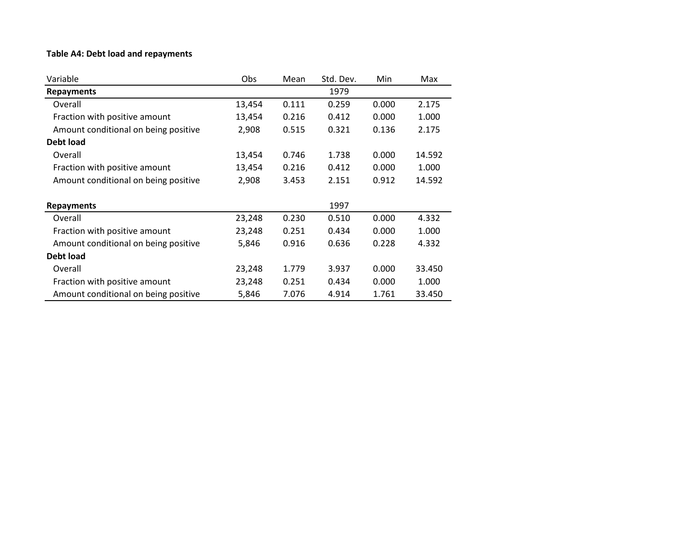## **Table A4: Debt load and repayments**

| Variable                             | Obs    | Mean  | Std. Dev. | Min   | Max    |
|--------------------------------------|--------|-------|-----------|-------|--------|
| <b>Repayments</b>                    |        |       | 1979      |       |        |
| Overall                              | 13,454 | 0.111 | 0.259     | 0.000 | 2.175  |
| Fraction with positive amount        | 13,454 | 0.216 | 0.412     | 0.000 | 1.000  |
| Amount conditional on being positive | 2,908  | 0.515 | 0.321     | 0.136 | 2.175  |
| <b>Debt load</b>                     |        |       |           |       |        |
| Overall                              | 13,454 | 0.746 | 1.738     | 0.000 | 14.592 |
| Fraction with positive amount        | 13,454 | 0.216 | 0.412     | 0.000 | 1.000  |
| Amount conditional on being positive | 2,908  | 3.453 | 2.151     | 0.912 | 14.592 |
| <b>Repayments</b>                    |        |       | 1997      |       |        |
| Overall                              | 23,248 | 0.230 | 0.510     | 0.000 | 4.332  |
| Fraction with positive amount        | 23,248 | 0.251 | 0.434     | 0.000 | 1.000  |
| Amount conditional on being positive | 5,846  | 0.916 | 0.636     | 0.228 | 4.332  |
| Debt load                            |        |       |           |       |        |
| Overall                              | 23,248 | 1.779 | 3.937     | 0.000 | 33.450 |
| Fraction with positive amount        | 23,248 | 0.251 | 0.434     | 0.000 | 1.000  |
| Amount conditional on being positive | 5,846  | 7.076 | 4.914     | 1.761 | 33.450 |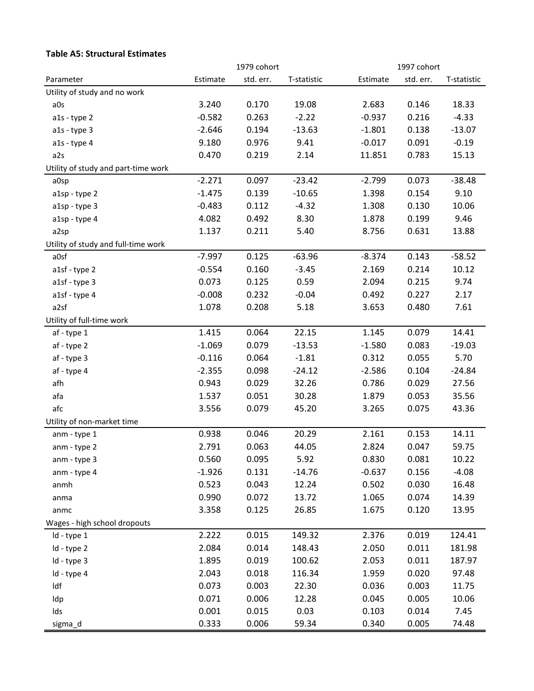#### **Table A5: Structural Estimates**

|                                     | 1979 cohort |           |             | 1997 cohort |           |             |  |
|-------------------------------------|-------------|-----------|-------------|-------------|-----------|-------------|--|
| Parameter                           | Estimate    | std. err. | T-statistic | Estimate    | std. err. | T-statistic |  |
| Utility of study and no work        |             |           |             |             |           |             |  |
| a0s                                 | 3.240       | 0.170     | 19.08       | 2.683       | 0.146     | 18.33       |  |
| a1s - type 2                        | $-0.582$    | 0.263     | $-2.22$     | $-0.937$    | 0.216     | $-4.33$     |  |
| $a1s - type 3$                      | $-2.646$    | 0.194     | $-13.63$    | $-1.801$    | 0.138     | $-13.07$    |  |
| a1s - type 4                        | 9.180       | 0.976     | 9.41        | $-0.017$    | 0.091     | $-0.19$     |  |
| a2s                                 | 0.470       | 0.219     | 2.14        | 11.851      | 0.783     | 15.13       |  |
| Utility of study and part-time work |             |           |             |             |           |             |  |
| a0sp                                | $-2.271$    | 0.097     | $-23.42$    | $-2.799$    | 0.073     | $-38.48$    |  |
| a1sp - type 2                       | $-1.475$    | 0.139     | $-10.65$    | 1.398       | 0.154     | 9.10        |  |
| a1sp - type 3                       | $-0.483$    | 0.112     | $-4.32$     | 1.308       | 0.130     | 10.06       |  |
| a1sp - type 4                       | 4.082       | 0.492     | 8.30        | 1.878       | 0.199     | 9.46        |  |
| a2sp                                | 1.137       | 0.211     | 5.40        | 8.756       | 0.631     | 13.88       |  |
| Utility of study and full-time work |             |           |             |             |           |             |  |
| a0sf                                | $-7.997$    | 0.125     | $-63.96$    | $-8.374$    | 0.143     | $-58.52$    |  |
| a1sf - type 2                       | $-0.554$    | 0.160     | $-3.45$     | 2.169       | 0.214     | 10.12       |  |
| a1sf - type 3                       | 0.073       | 0.125     | 0.59        | 2.094       | 0.215     | 9.74        |  |
| a1sf - type 4                       | $-0.008$    | 0.232     | $-0.04$     | 0.492       | 0.227     | 2.17        |  |
| a2sf                                | 1.078       | 0.208     | 5.18        | 3.653       | 0.480     | 7.61        |  |
| Utility of full-time work           |             |           |             |             |           |             |  |
| af - type 1                         | 1.415       | 0.064     | 22.15       | 1.145       | 0.079     | 14.41       |  |
| af - type 2                         | $-1.069$    | 0.079     | $-13.53$    | $-1.580$    | 0.083     | $-19.03$    |  |
| af - type 3                         | $-0.116$    | 0.064     | $-1.81$     | 0.312       | 0.055     | 5.70        |  |
| af - type 4                         | $-2.355$    | 0.098     | $-24.12$    | $-2.586$    | 0.104     | $-24.84$    |  |
| afh                                 | 0.943       | 0.029     | 32.26       | 0.786       | 0.029     | 27.56       |  |
| afa                                 | 1.537       | 0.051     | 30.28       | 1.879       | 0.053     | 35.56       |  |
| afc                                 | 3.556       | 0.079     | 45.20       | 3.265       | 0.075     | 43.36       |  |
| Utility of non-market time          |             |           |             |             |           |             |  |
| anm - type 1                        | 0.938       | 0.046     | 20.29       | 2.161       | 0.153     | 14.11       |  |
| anm - type 2                        | 2.791       | 0.063     | 44.05       | 2.824       | 0.047     | 59.75       |  |
| anm - type 3                        | 0.560       | 0.095     | 5.92        | 0.830       | 0.081     | 10.22       |  |
| anm - type 4                        | $-1.926$    | 0.131     | $-14.76$    | $-0.637$    | 0.156     | $-4.08$     |  |
| anmh                                | 0.523       | 0.043     | 12.24       | 0.502       | 0.030     | 16.48       |  |
| anma                                | 0.990       | 0.072     | 13.72       | 1.065       | 0.074     | 14.39       |  |
| anmc                                | 3.358       | 0.125     | 26.85       | 1.675       | 0.120     | 13.95       |  |
| Wages - high school dropouts        |             |           |             |             |           |             |  |
| Id - type 1                         | 2.222       | 0.015     | 149.32      | 2.376       | 0.019     | 124.41      |  |
| Id - type 2                         | 2.084       | 0.014     | 148.43      | 2.050       | 0.011     | 181.98      |  |
| Id - type 3                         | 1.895       | 0.019     | 100.62      | 2.053       | 0.011     | 187.97      |  |
| Id - type 4                         | 2.043       | 0.018     | 116.34      | 1.959       | 0.020     | 97.48       |  |
| Idf                                 | 0.073       | 0.003     | 22.30       | 0.036       | 0.003     | 11.75       |  |
| Idp                                 | 0.071       | 0.006     | 12.28       | 0.045       | 0.005     | 10.06       |  |
| Ids                                 | 0.001       | 0.015     | 0.03        | 0.103       | 0.014     | 7.45        |  |
| sigma_d                             | 0.333       | 0.006     | 59.34       | 0.340       | 0.005     | 74.48       |  |